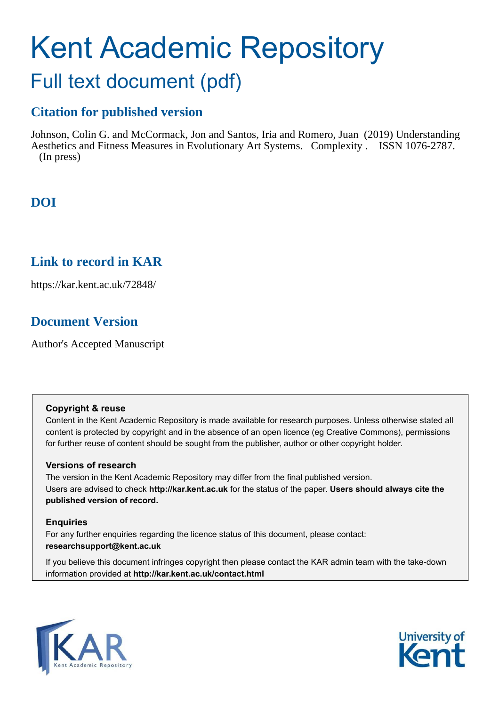# Kent Academic Repository

## Full text document (pdf)

## **Citation for published version**

Johnson, Colin G. and McCormack, Jon and Santos, Iria and Romero, Juan (2019) Understanding Aesthetics and Fitness Measures in Evolutionary Art Systems. Complexity . ISSN 1076-2787. (In press)

## **DOI**

## **Link to record in KAR**

https://kar.kent.ac.uk/72848/

## **Document Version**

Author's Accepted Manuscript

#### **Copyright & reuse**

Content in the Kent Academic Repository is made available for research purposes. Unless otherwise stated all content is protected by copyright and in the absence of an open licence (eg Creative Commons), permissions for further reuse of content should be sought from the publisher, author or other copyright holder.

#### **Versions of research**

The version in the Kent Academic Repository may differ from the final published version. Users are advised to check **http://kar.kent.ac.uk** for the status of the paper. **Users should always cite the published version of record.**

#### **Enquiries**

For any further enquiries regarding the licence status of this document, please contact: **researchsupport@kent.ac.uk**

If you believe this document infringes copyright then please contact the KAR admin team with the take-down information provided at **http://kar.kent.ac.uk/contact.html**



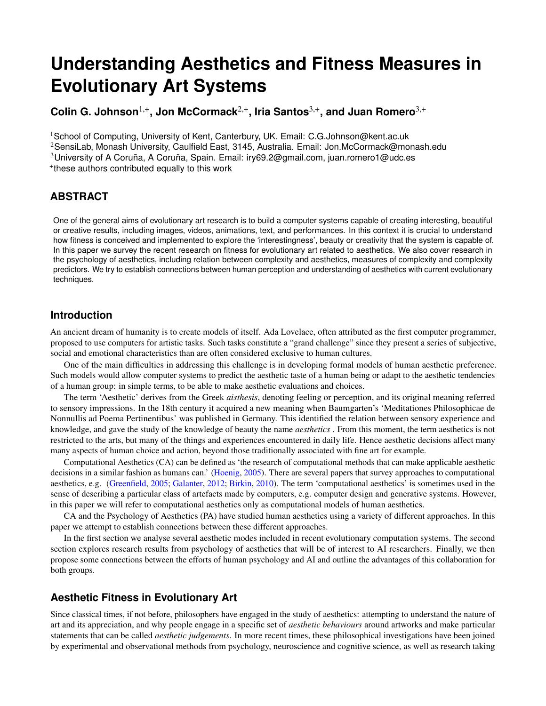## **Understanding Aesthetics and Fitness Measures in Evolutionary Art Systems**

**Colin G. Johnson**1,+**, Jon McCormack**2,+**, Iria Santos**3,+**, and Juan Romero**3,+

<sup>1</sup>School of Computing, University of Kent, Canterbury, UK. Email: C.G.Johnson@kent.ac.uk <sup>2</sup>SensiLab, Monash University, Caulfield East, 3145, Australia. Email: Jon.McCormack@monash.edu <sup>3</sup>University of A Coruña, A Coruña, Spain. Email: iry69.2@gmail.com, juan.romero1@udc.es + these authors contributed equally to this work

#### **ABSTRACT**

One of the general aims of evolutionary art research is to build a computer systems capable of creating interesting, beautiful or creative results, including images, videos, animations, text, and performances. In this context it is crucial to understand how fitness is conceived and implemented to explore the 'interestingness', beauty or creativity that the system is capable of. In this paper we survey the recent research on fitness for evolutionary art related to aesthetics. We also cover research in the psychology of aesthetics, including relation between complexity and aesthetics, measures of complexity and complexity predictors. We try to establish connections between human perception and understanding of aesthetics with current evolutionary techniques.

#### **Introduction**

An ancient dream of humanity is to create models of itself. Ada Lovelace, often attributed as the first computer programmer, proposed to use computers for artistic tasks. Such tasks constitute a "grand challenge" since they present a series of subjective, social and emotional characteristics than are often considered exclusive to human cultures.

One of the main difficulties in addressing this challenge is in developing formal models of human aesthetic preference. Such models would allow computer systems to predict the aesthetic taste of a human being or adapt to the aesthetic tendencies of a human group: in simple terms, to be able to make aesthetic evaluations and choices.

The term 'Aesthetic' derives from the Greek *aisthesis*, denoting feeling or perception, and its original meaning referred to sensory impressions. In the 18th century it acquired a new meaning when Baumgarten's 'Meditationes Philosophicae de Nonnullis ad Poema Pertinentibus' was published in Germany. This identified the relation between sensory experience and knowledge, and gave the study of the knowledge of beauty the name *aesthetics* . From this moment, the term aesthetics is not restricted to the arts, but many of the things and experiences encountered in daily life. Hence aesthetic decisions affect many many aspects of human choice and action, beyond those traditionally associated with fine art for example.

Computational Aesthetics (CA) can be defined as 'the research of computational methods that can make applicable aesthetic decisions in a similar fashion as humans can.' [\(Hoenig,](#page-14-0) [2005\)](#page-14-0). There are several papers that survey approaches to computational aesthetics, e.g. [\(Greenfield,](#page-13-0) [2005;](#page-13-0) [Galanter,](#page-13-1) [2012;](#page-13-1) [Birkin,](#page-11-0) [2010\)](#page-11-0). The term 'computational aesthetics' is sometimes used in the sense of describing a particular class of artefacts made by computers, e.g. computer design and generative systems. However, in this paper we will refer to computational aesthetics only as computational models of human aesthetics.

CA and the Psychology of Aesthetics (PA) have studied human aesthetics using a variety of different approaches. In this paper we attempt to establish connections between these different approaches.

In the first section we analyse several aesthetic modes included in recent evolutionary computation systems. The second section explores research results from psychology of aesthetics that will be of interest to AI researchers. Finally, we then propose some connections between the efforts of human psychology and AI and outline the advantages of this collaboration for both groups.

#### **Aesthetic Fitness in Evolutionary Art**

Since classical times, if not before, philosophers have engaged in the study of aesthetics: attempting to understand the nature of art and its appreciation, and why people engage in a specific set of *aesthetic behaviours* around artworks and make particular statements that can be called *aesthetic judgements*. In more recent times, these philosophical investigations have been joined by experimental and observational methods from psychology, neuroscience and cognitive science, as well as research taking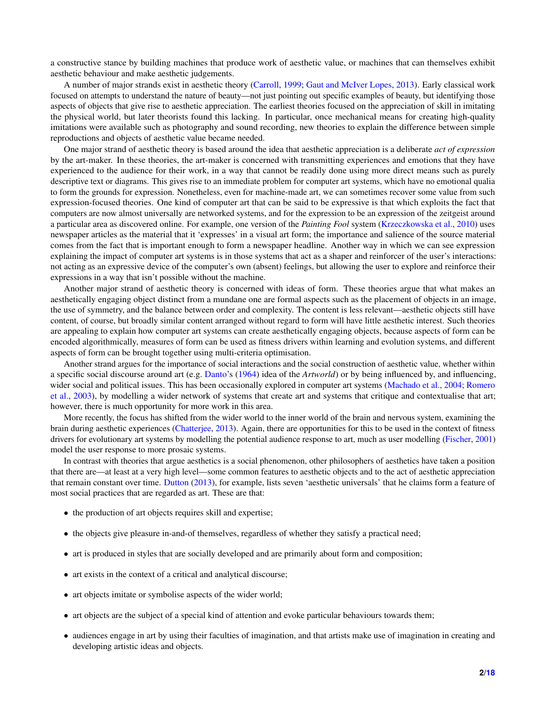a constructive stance by building machines that produce work of aesthetic value, or machines that can themselves exhibit aesthetic behaviour and make aesthetic judgements.

A number of major strands exist in aesthetic theory [\(Carroll,](#page-11-1) [1999;](#page-11-1) [Gaut and McIver Lopes,](#page-13-2) [2013\)](#page-13-2). Early classical work focused on attempts to understand the nature of beauty—not just pointing out specific examples of beauty, but identifying those aspects of objects that give rise to aesthetic appreciation. The earliest theories focused on the appreciation of skill in imitating the physical world, but later theorists found this lacking. In particular, once mechanical means for creating high-quality imitations were available such as photography and sound recording, new theories to explain the difference between simple reproductions and objects of aesthetic value became needed.

One major strand of aesthetic theory is based around the idea that aesthetic appreciation is a deliberate *act of expression* by the art-maker. In these theories, the art-maker is concerned with transmitting experiences and emotions that they have experienced to the audience for their work, in a way that cannot be readily done using more direct means such as purely descriptive text or diagrams. This gives rise to an immediate problem for computer art systems, which have no emotional qualia to form the grounds for expression. Nonetheless, even for machine-made art, we can sometimes recover some value from such expression-focused theories. One kind of computer art that can be said to be expressive is that which exploits the fact that computers are now almost universally are networked systems, and for the expression to be an expression of the zeitgeist around a particular area as discovered online. For example, one version of the *Painting Fool* system [\(Krzeczkowska et al.,](#page-14-1) [2010\)](#page-14-1) uses newspaper articles as the material that it 'expresses' in a visual art form; the importance and salience of the source material comes from the fact that is important enough to form a newspaper headline. Another way in which we can see expression explaining the impact of computer art systems is in those systems that act as a shaper and reinforcer of the user's interactions: not acting as an expressive device of the computer's own (absent) feelings, but allowing the user to explore and reinforce their expressions in a way that isn't possible without the machine.

Another major strand of aesthetic theory is concerned with ideas of form. These theories argue that what makes an aesthetically engaging object distinct from a mundane one are formal aspects such as the placement of objects in an image, the use of symmetry, and the balance between order and complexity. The content is less relevant—aesthetic objects still have content, of course, but broadly similar content arranged without regard to form will have little aesthetic interest. Such theories are appealing to explain how computer art systems can create aesthetically engaging objects, because aspects of form can be encoded algorithmically, measures of form can be used as fitness drivers within learning and evolution systems, and different aspects of form can be brought together using multi-criteria optimisation.

Another strand argues for the importance of social interactions and the social construction of aesthetic value, whether within a specific social discourse around art (e.g. [Danto'](#page-12-0)s [\(1964\)](#page-12-0) idea of the *Artworld*) or by being influenced by, and influencing, wider social and political issues. This has been occasionally explored in computer art systems [\(Machado et al.,](#page-15-0) [2004;](#page-15-0) [Romero](#page-16-0) [et al.,](#page-16-0) [2003\)](#page-16-0), by modelling a wider network of systems that create art and systems that critique and contextualise that art; however, there is much opportunity for more work in this area.

More recently, the focus has shifted from the wider world to the inner world of the brain and nervous system, examining the brain during aesthetic experiences [\(Chatterjee,](#page-11-2) [2013\)](#page-11-2). Again, there are opportunities for this to be used in the context of fitness drivers for evolutionary art systems by modelling the potential audience response to art, much as user modelling [\(Fischer,](#page-13-3) [2001\)](#page-13-3) model the user response to more prosaic systems.

In contrast with theories that argue aesthetics is a social phenomenon, other philosophers of aesthetics have taken a position that there are—at least at a very high level—some common features to aesthetic objects and to the act of aesthetic appreciation that remain constant over time. [Dutton](#page-12-1) [\(2013\)](#page-12-1), for example, lists seven 'aesthetic universals' that he claims form a feature of most social practices that are regarded as art. These are that:

- the production of art objects requires skill and expertise;
- the objects give pleasure in-and-of themselves, regardless of whether they satisfy a practical need;
- art is produced in styles that are socially developed and are primarily about form and composition;
- art exists in the context of a critical and analytical discourse;
- art objects imitate or symbolise aspects of the wider world;
- art objects are the subject of a special kind of attention and evoke particular behaviours towards them;
- audiences engage in art by using their faculties of imagination, and that artists make use of imagination in creating and developing artistic ideas and objects.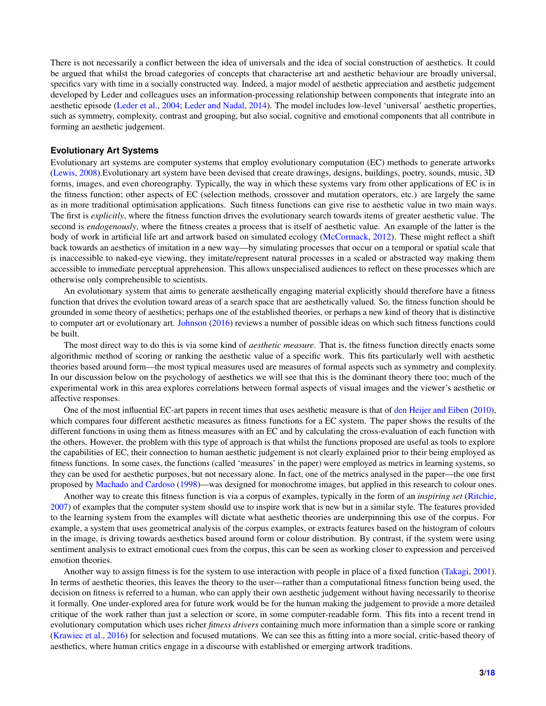There is not necessarily a conflict between the idea of universals and the idea of social construction of aesthetics. It could be argued that whilst the broad categories of concepts that characterise art and aesthetic behaviour are broadly universal, specifics vary with time in a socially constructed way. Indeed, a major model of aesthetic appreciation and aesthetic judgement developed by Leder and colleagues uses an information-processing relationship between components that integrate into an aesthetic episode [\(Leder et al.,](#page-14-2) [2004;](#page-14-2) [Leder and Nadal,](#page-14-3) [2014\)](#page-14-3). The model includes low-level 'universal' aesthetic properties, such as symmetry, complexity, contrast and grouping, but also social, cognitive and emotional components that all contribute in forming an aesthetic judgement.

#### **Evolutionary Art Systems**

Evolutionary art systems are computer systems that employ evolutionary computation (EC) methods to generate artworks [\(Lewis,](#page-14-4) [2008\)](#page-14-4).Evolutionary art system have been devised that create drawings, designs, buildings, poetry, sounds, music, 3D forms, images, and even choreography. Typically, the way in which these systems vary from other applications of EC is in the fitness function; other aspects of EC (selection methods, crossover and mutation operators, etc.) are largely the same as in more traditional optimisation applications. Such fitness functions can give rise to aesthetic value in two main ways. The first is *explicitly*, where the fitness function drives the evolutionary search towards items of greater aesthetic value. The second is *endogenously*, where the fitness creates a process that is itself of aesthetic value. An example of the latter is the body of work in artificial life art and artwork based on simulated ecology [\(McCormack,](#page-15-1) [2012\)](#page-15-1). These might reflect a shift back towards an aesthetics of imitation in a new way—by simulating processes that occur on a temporal or spatial scale that is inaccessible to naked-eye viewing, they imitate/represent natural processes in a scaled or abstracted way making them accessible to immediate perceptual apprehension. This allows unspecialised audiences to reflect on these processes which are otherwise only comprehensible to scientists.

An evolutionary system that aims to generate aesthetically engaging material explicitly should therefore have a fitness function that drives the evolution toward areas of a search space that are aesthetically valued. So, the fitness function should be grounded in some theory of aesthetics; perhaps one of the established theories, or perhaps a new kind of theory that is distinctive to computer art or evolutionary art. [Johnson](#page-14-5) [\(2016\)](#page-14-5) reviews a number of possible ideas on which such fitness functions could be built.

<span id="page-3-0"></span>The most direct way to do this is via some kind of *aesthetic measure*. That is, the fitness function directly enacts some algorithmic method of scoring or ranking the aesthetic value of a specific work. This fits particularly well with aesthetic theories based around form—the most typical measures used are measures of formal aspects such as symmetry and complexity. In our discussion below on the psychology of aesthetics we will see that this is the dominant theory there too; much of the experimental work in this area explores correlations between formal aspects of visual images and the viewer's aesthetic or affective responses.

One of the most influential EC-art papers in recent times that uses aesthetic measure is that of [den Heijer and Eiben](#page-12-2) [\(2010\)](#page-12-2), which compares four different aesthetic measures as fitness functions for a EC system. The paper shows the results of the different functions in using them as fitness measures with an EC and by calculating the cross-evaluation of each function with the others. However, the problem with this type of approach is that whilst the functions proposed are useful as tools to explore the capabilities of EC, their connection to human aesthetic judgement is not clearly explained prior to their being employed as fitness functions. In some cases, the functions (called 'measures' in the paper) were employed as metrics in learning systems, so they can be used for aesthetic purposes, but not necessary alone. In fact, one of the metrics analysed in the paper—the one first proposed by [Machado and Cardoso](#page-15-2) [\(1998\)](#page-15-2)—was designed for monochrome images, but applied in this research to colour ones.

Another way to create this fitness function is via a corpus of examples, typically in the form of an *inspiring set* [\(Ritchie,](#page-16-1) [2007\)](#page-16-1) of examples that the computer system should use to inspire work that is new but in a similar style. The features provided to the learning system from the examples will dictate what aesthetic theories are underpinning this use of the corpus. For example, a system that uses geometrical analysis of the corpus examples, or extracts features based on the histogram of colours in the image, is driving towards aesthetics based around form or colour distribution. By contrast, if the system were using sentiment analysis to extract emotional cues from the corpus, this can be seen as working closer to expression and perceived emotion theories.

Another way to assign fitness is for the system to use interaction with people in place of a fixed function [\(Takagi,](#page-16-2) [2001\)](#page-16-2). In terms of aesthetic theories, this leaves the theory to the user—rather than a computational fitness function being used, the decision on fitness is referred to a human, who can apply their own aesthetic judgement without having necessarily to theorise it formally. One under-explored area for future work would be for the human making the judgement to provide a more detailed critique of the work rather than just a selection or score, in some computer-readable form. This fits into a recent trend in evolutionary computation which uses richer *fitness drivers* containing much more information than a simple score or ranking [\(Krawiec et al.,](#page-14-6) [2016\)](#page-14-6) for selection and focused mutations. We can see this as fitting into a more social, critic-based theory of aesthetics, where human critics engage in a discourse with established or emerging artwork traditions.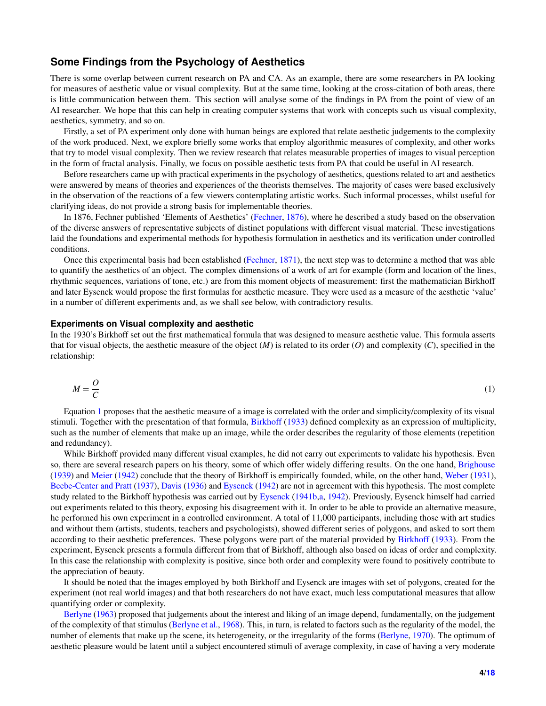#### **Some Findings from the Psychology of Aesthetics**

There is some overlap between current research on PA and CA. As an example, there are some researchers in PA looking for measures of aesthetic value or visual complexity. But at the same time, looking at the cross-citation of both areas, there is little communication between them. This section will analyse some of the findings in PA from the point of view of an AI researcher. We hope that this can help in creating computer systems that work with concepts such us visual complexity, aesthetics, symmetry, and so on.

Firstly, a set of PA experiment only done with human beings are explored that relate aesthetic judgements to the complexity of the work produced. Next, we explore briefly some works that employ algorithmic measures of complexity, and other works that try to model visual complexity. Then we review research that relates measurable properties of images to visual perception in the form of fractal analysis. Finally, we focus on possible aesthetic tests from PA that could be useful in AI research.

Before researchers came up with practical experiments in the psychology of aesthetics, questions related to art and aesthetics were answered by means of theories and experiences of the theorists themselves. The majority of cases were based exclusively in the observation of the reactions of a few viewers contemplating artistic works. Such informal processes, whilst useful for clarifying ideas, do not provide a strong basis for implementable theories.

In 1876, Fechner published 'Elements of Aesthetics' [\(Fechner,](#page-12-3) [1876\)](#page-12-3), where he described a study based on the observation of the diverse answers of representative subjects of distinct populations with different visual material. These investigations laid the foundations and experimental methods for hypothesis formulation in aesthetics and its verification under controlled conditions.

Once this experimental basis had been established [\(Fechner,](#page-12-4) [1871\)](#page-12-4), the next step was to determine a method that was able to quantify the aesthetics of an object. The complex dimensions of a work of art for example (form and location of the lines, rhythmic sequences, variations of tone, etc.) are from this moment objects of measurement: first the mathematician Birkhoff and later Eysenck would propose the first formulas for aesthetic measure. They were used as a measure of the aesthetic 'value' in a number of different experiments and, as we shall see below, with contradictory results.

#### **Experiments on Visual complexity and aesthetic**

In the 1930's Birkhoff set out the first mathematical formula that was designed to measure aesthetic value. This formula asserts that for visual objects, the aesthetic measure of the object (*M*) is related to its order (*O*) and complexity (*C*), specified in the relationship:

$$
M = \frac{O}{C} \tag{1}
$$

Equation [1](#page-3-0) proposes that the aesthetic measure of a image is correlated with the order and simplicity/complexity of its visual stimuli. Together with the presentation of that formula, [Birkhoff](#page-11-3) [\(1933\)](#page-11-3) defined complexity as an expression of multiplicity, such as the number of elements that make up an image, while the order describes the regularity of those elements (repetition and redundancy).

While Birkhoff provided many different visual examples, he did not carry out experiments to validate his hypothesis. Even so, there are several research papers on his theory, some of which offer widely differing results. On the one hand, [Brighouse](#page-11-4) [\(1939\)](#page-11-4) and [Meier](#page-15-3) [\(1942\)](#page-15-3) conclude that the theory of Birkhoff is empirically founded, while, on the other hand, [Weber](#page-17-1) [\(1931\)](#page-17-1), [Beebe-Center and Pratt](#page-11-5) [\(1937\)](#page-11-5), [Davis](#page-12-5) [\(1936\)](#page-12-5) and [Eysenck](#page-12-6) [\(1942\)](#page-12-6) are not in agreement with this hypothesis. The most complete study related to the Birkhoff hypothesis was carried out by [Eysenck](#page-12-7) [\(1941b,](#page-12-7)[a,](#page-12-8) [1942\)](#page-12-6). Previously, Eysenck himself had carried out experiments related to this theory, exposing his disagreement with it. In order to be able to provide an alternative measure, he performed his own experiment in a controlled environment. A total of 11,000 participants, including those with art studies and without them (artists, students, teachers and psychologists), showed different series of polygons, and asked to sort them according to their aesthetic preferences. These polygons were part of the material provided by [Birkhoff](#page-11-3) [\(1933\)](#page-11-3). From the experiment, Eysenck presents a formula different from that of Birkhoff, although also based on ideas of order and complexity. In this case the relationship with complexity is positive, since both order and complexity were found to positively contribute to the appreciation of beauty.

It should be noted that the images employed by both Birkhoff and Eysenck are images with set of polygons, created for the experiment (not real world images) and that both researchers do not have exact, much less computational measures that allow quantifying order or complexity.

[Berlyne](#page-11-6) [\(1963\)](#page-11-6) proposed that judgements about the interest and liking of an image depend, fundamentally, on the judgement of the complexity of that stimulus [\(Berlyne et al.,](#page-11-7) [1968\)](#page-11-7). This, in turn, is related to factors such as the regularity of the model, the number of elements that make up the scene, its heterogeneity, or the irregularity of the forms [\(Berlyne,](#page-11-8) [1970\)](#page-11-8). The optimum of aesthetic pleasure would be latent until a subject encountered stimuli of average complexity, in case of having a very moderate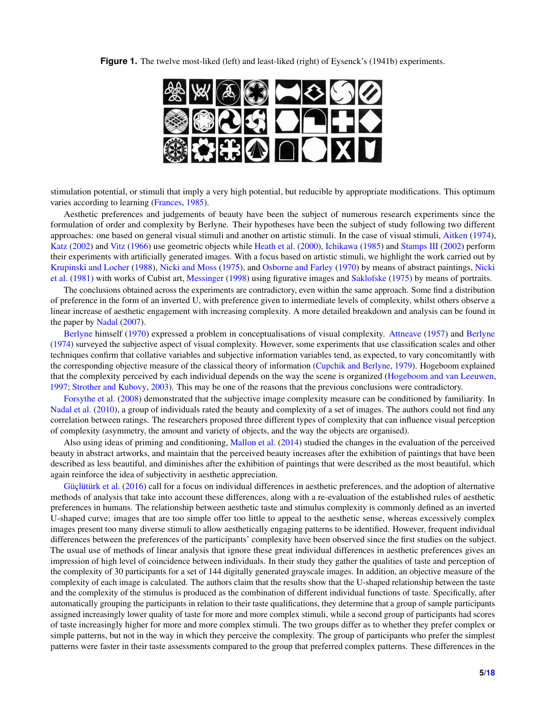**Figure 1.** The twelve most-liked (left) and least-liked (right) of Eysenck's (1941b) experiments.



stimulation potential, or stimuli that imply a very high potential, but reducible by appropriate modifications. This optimum varies according to learning [\(Frances,](#page-13-4) [1985\)](#page-13-4).

Aesthetic preferences and judgements of beauty have been the subject of numerous research experiments since the formulation of order and complexity by Berlyne. Their hypotheses have been the subject of study following two different approaches: one based on general visual stimuli and another on artistic stimuli. In the case of visual stimuli, [Aitken](#page-10-0) [\(1974\)](#page-10-0), [Katz](#page-14-7) [\(2002\)](#page-14-7) and [Vitz](#page-17-2) [\(1966\)](#page-17-2) use geometric objects while [Heath et al.](#page-14-8) [\(2000\)](#page-14-8), [Ichikawa](#page-14-9) [\(1985\)](#page-14-9) and [Stamps III](#page-16-3) [\(2002\)](#page-16-3) perform their experiments with artificially generated images. With a focus based on artistic stimuli, we highlight the work carried out by [Krupinski and Locher](#page-14-10) [\(1988\)](#page-14-10), [Nicki and Moss](#page-16-4) [\(1975\)](#page-16-4), and [Osborne and Farley](#page-16-5) [\(1970\)](#page-16-5) by means of abstract paintings, [Nicki](#page-16-6) [et al.](#page-16-6) [\(1981\)](#page-16-6) with works of Cubist art, [Messinger](#page-15-4) [\(1998\)](#page-15-4) using figurative images and [Saklofske](#page-16-7) [\(1975\)](#page-16-7) by means of portraits.

The conclusions obtained across the experiments are contradictory, even within the same approach. Some find a distribution of preference in the form of an inverted U, with preference given to intermediate levels of complexity, whilst others observe a linear increase of aesthetic engagement with increasing complexity. A more detailed breakdown and analysis can be found in the paper by [Nadal](#page-15-5) [\(2007\)](#page-15-5).

[Berlyne](#page-11-8) himself [\(1970\)](#page-11-8) expressed a problem in conceptualisations of visual complexity. [Attneave](#page-11-9) [\(1957\)](#page-11-9) and [Berlyne](#page-11-10) [\(1974\)](#page-11-10) surveyed the subjective aspect of visual complexity. However, some experiments that use classification scales and other techniques confirm that collative variables and subjective information variables tend, as expected, to vary concomitantly with the corresponding objective measure of the classical theory of information [\(Cupchik and Berlyne,](#page-12-9) [1979\)](#page-12-9). Hogeboom explained that the complexity perceived by each individual depends on the way the scene is organized [\(Hogeboom and van Leeuwen,](#page-14-11) [1997;](#page-14-11) [Strother and Kubovy,](#page-16-8) [2003\)](#page-16-8). This may be one of the reasons that the previous conclusions were contradictory.

[Forsythe et al.](#page-13-5) [\(2008\)](#page-13-5) demonstrated that the subjective image complexity measure can be conditioned by familiarity. In [Nadal et al.](#page-15-6) [\(2010\)](#page-15-6), a group of individuals rated the beauty and complexity of a set of images. The authors could not find any correlation between ratings. The researchers proposed three different types of complexity that can influence visual perception of complexity (asymmetry, the amount and variety of objects, and the way the objects are organised).

Also using ideas of priming and conditioning, [Mallon et al.](#page-15-7) [\(2014\)](#page-15-7) studied the changes in the evaluation of the perceived beauty in abstract artworks, and maintain that the perceived beauty increases after the exhibition of paintings that have been described as less beautiful, and diminishes after the exhibition of paintings that were described as the most beautiful, which again reinforce the idea of subjectivity in aesthetic appreciation.

<span id="page-5-0"></span>[Güçlütürk et al.](#page-13-6) [\(2016\)](#page-13-6) call for a focus on individual differences in aesthetic preferences, and the adoption of alternative methods of analysis that take into account these differences, along with a re-evaluation of the established rules of aesthetic preferences in humans. The relationship between aesthetic taste and stimulus complexity is commonly defined as an inverted U-shaped curve; images that are too simple offer too little to appeal to the aesthetic sense, whereas excessively complex images present too many diverse stimuli to allow aesthetically engaging patterns to be identified. However, frequent individual differences between the preferences of the participants' complexity have been observed since the first studies on the subject. The usual use of methods of linear analysis that ignore these great individual differences in aesthetic preferences gives an impression of high level of coincidence between individuals. In their study they gather the qualities of taste and perception of the complexity of 30 participants for a set of 144 digitally generated grayscale images. In addition, an objective measure of the complexity of each image is calculated. The authors claim that the results show that the U-shaped relationship between the taste and the complexity of the stimulus is produced as the combination of different individual functions of taste. Specifically, after automatically grouping the participants in relation to their taste qualifications, they determine that a group of sample participants assigned increasingly lower quality of taste for more and more complex stimuli, while a second group of participants had scores of taste increasingly higher for more and more complex stimuli. The two groups differ as to whether they prefer complex or simple patterns, but not in the way in which they perceive the complexity. The group of participants who prefer the simplest patterns were faster in their taste assessments compared to the group that preferred complex patterns. These differences in the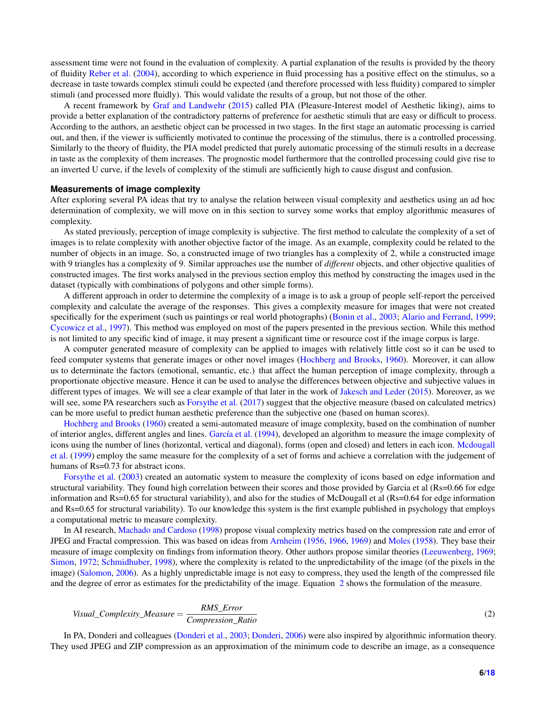assessment time were not found in the evaluation of complexity. A partial explanation of the results is provided by the theory of fluidity [Reber et al.](#page-16-9) [\(2004\)](#page-16-9), according to which experience in fluid processing has a positive effect on the stimulus, so a decrease in taste towards complex stimuli could be expected (and therefore processed with less fluidity) compared to simpler stimuli (and processed more fluidly). This would validate the results of a group, but not those of the other.

A recent framework by [Graf and Landwehr](#page-13-7) [\(2015\)](#page-13-7) called PIA (Pleasure-Interest model of Aesthetic liking), aims to provide a better explanation of the contradictory patterns of preference for aesthetic stimuli that are easy or difficult to process. According to the authors, an aesthetic object can be processed in two stages. In the first stage an automatic processing is carried out, and then, if the viewer is sufficiently motivated to continue the processing of the stimulus, there is a controlled processing. Similarly to the theory of fluidity, the PIA model predicted that purely automatic processing of the stimuli results in a decrease in taste as the complexity of them increases. The prognostic model furthermore that the controlled processing could give rise to an inverted U curve, if the levels of complexity of the stimuli are sufficiently high to cause disgust and confusion.

#### **Measurements of image complexity**

After exploring several PA ideas that try to analyse the relation between visual complexity and aesthetics using an ad hoc determination of complexity, we will move on in this section to survey some works that employ algorithmic measures of complexity.

As stated previously, perception of image complexity is subjective. The first method to calculate the complexity of a set of images is to relate complexity with another objective factor of the image. As an example, complexity could be related to the number of objects in an image. So, a constructed image of two triangles has a complexity of 2, while a constructed image with 9 triangles has a complexity of 9. Similar approaches use the number of *different* objects, and other objective qualities of constructed images. The first works analysed in the previous section employ this method by constructing the images used in the dataset (typically with combinations of polygons and other simple forms).

A different approach in order to determine the complexity of a image is to ask a group of people self-report the perceived complexity and calculate the average of the responses. This gives a complexity measure for images that were not created specifically for the experiment (such us paintings or real world photographs) [\(Bonin et al.,](#page-11-11) [2003;](#page-11-11) [Alario and Ferrand,](#page-11-12) [1999;](#page-11-12) [Cycowicz et al.,](#page-12-10) [1997\)](#page-12-10). This method was employed on most of the papers presented in the previous section. While this method is not limited to any specific kind of image, it may present a significant time or resource cost if the image corpus is large.

A computer generated measure of complexity can be applied to images with relatively little cost so it can be used to feed computer systems that generate images or other novel images [\(Hochberg and Brooks,](#page-14-12) [1960\)](#page-14-12). Moreover, it can allow us to determinate the factors (emotional, semantic, etc.) that affect the human perception of image complexity, through a proportionate objective measure. Hence it can be used to analyse the differences between objective and subjective values in different types of images. We will see a clear example of that later in the work of [Jakesch and Leder](#page-14-13) [\(2015\)](#page-14-13). Moreover, as we will see, some PA researchers such as [Forsythe et al.](#page-13-8) [\(2017\)](#page-13-8) suggest that the objective measure (based on calculated metrics) can be more useful to predict human aesthetic preference than the subjective one (based on human scores).

[Hochberg and Brooks](#page-14-12) [\(1960\)](#page-14-12) created a semi-automated measure of image complexity, based on the combination of number of interior angles, different angles and lines. [García et al.](#page-13-9) [\(1994\)](#page-13-9), developed an algorithm to measure the image complexity of icons using the number of lines (horizontal, vertical and diagonal), forms (open and closed) and letters in each icon. [Mcdougall](#page-15-8) [et al.](#page-15-8) [\(1999\)](#page-15-8) employ the same measure for the complexity of a set of forms and achieve a correlation with the judgement of humans of Rs=0.73 for abstract icons.

[Forsythe et al.](#page-13-10) [\(2003\)](#page-13-10) created an automatic system to measure the complexity of icons based on edge information and structural variability. They found high correlation between their scores and those provided by Garcia et al (Rs=0.66 for edge information and Rs=0.65 for structural variability), and also for the studies of McDougall et al (Rs=0.64 for edge information and Rs=0.65 for structural variability). To our knowledge this system is the first example published in psychology that employs a computational metric to measure complexity.

In AI research, [Machado and Cardoso](#page-15-2) [\(1998\)](#page-15-2) propose visual complexity metrics based on the compression rate and error of JPEG and Fractal compression. This was based on ideas from [Arnheim](#page-11-13) [\(1956,](#page-11-13) [1966,](#page-11-14) [1969\)](#page-11-15) and [Moles](#page-15-9) [\(1958\)](#page-15-9). They base their measure of image complexity on findings from information theory. Other authors propose similar theories [\(Leeuwenberg,](#page-14-14) [1969;](#page-14-14) [Simon,](#page-16-10) [1972;](#page-16-10) [Schmidhuber,](#page-16-11) [1998\)](#page-16-11), where the complexity is related to the unpredictability of the image (of the pixels in the image) [\(Salomon,](#page-16-12) [2006\)](#page-16-12). As a highly unpredictable image is not easy to compress, they used the length of the compressed file and the degree of error as estimates for the predictability of the image. Equation [2](#page-5-0) shows the formulation of the measure.

$$
Visual\_Complexity\_Measure = \frac{RMS\_Error}{Compression\_Ratio}
$$
 (2)

In PA, Donderi and colleagues [\(Donderi et al.,](#page-12-11) [2003;](#page-12-11) [Donderi,](#page-12-12) [2006\)](#page-12-12) were also inspired by algorithmic information theory. They used JPEG and ZIP compression as an approximation of the minimum code to describe an image, as a consequence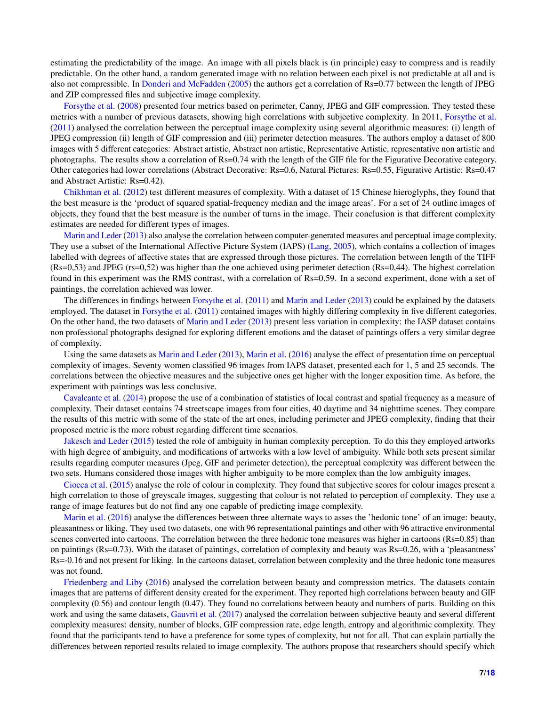estimating the predictability of the image. An image with all pixels black is (in principle) easy to compress and is readily predictable. On the other hand, a random generated image with no relation between each pixel is not predictable at all and is also not compressible. In [Donderi and McFadden](#page-12-13) [\(2005\)](#page-12-13) the authors get a correlation of Rs=0.77 between the length of JPEG and ZIP compressed files and subjective image complexity.

[Forsythe et al.](#page-13-5) [\(2008\)](#page-13-5) presented four metrics based on perimeter, Canny, JPEG and GIF compression. They tested these metrics with a number of previous datasets, showing high correlations with subjective complexity. In 2011, [Forsythe et al.](#page-13-11) [\(2011\)](#page-13-11) analysed the correlation between the perceptual image complexity using several algorithmic measures: (i) length of JPEG compression (ii) length of GIF compression and (iii) perimeter detection measures. The authors employ a dataset of 800 images with 5 different categories: Abstract artistic, Abstract non artistic, Representative Artistic, representative non artistic and photographs. The results show a correlation of Rs=0.74 with the length of the GIF file for the Figurative Decorative category. Other categories had lower correlations (Abstract Decorative: Rs=0.6, Natural Pictures: Rs=0.55, Figurative Artistic: Rs=0.47 and Abstract Artistic: Rs=0.42).

[Chikhman et al.](#page-11-16) [\(2012\)](#page-11-16) test different measures of complexity. With a dataset of 15 Chinese hieroglyphs, they found that the best measure is the 'product of squared spatial-frequency median and the image areas'. For a set of 24 outline images of objects, they found that the best measure is the number of turns in the image. Their conclusion is that different complexity estimates are needed for different types of images.

[Marin and Leder](#page-15-10) [\(2013\)](#page-15-10) also analyse the correlation between computer-generated measures and perceptual image complexity. They use a subset of the International Affective Picture System (IAPS) [\(Lang,](#page-14-15) [2005\)](#page-14-15), which contains a collection of images labelled with degrees of affective states that are expressed through those pictures. The correlation between length of the TIFF (Rs=0,53) and JPEG (rs=0,52) was higher than the one achieved using perimeter detection (Rs=0,44). The highest correlation found in this experiment was the RMS contrast, with a correlation of Rs=0.59. In a second experiment, done with a set of paintings, the correlation achieved was lower.

The differences in findings between [Forsythe et al.](#page-13-11) [\(2011\)](#page-13-11) and [Marin and Leder](#page-15-10) [\(2013\)](#page-15-10) could be explained by the datasets employed. The dataset in [Forsythe et al.](#page-13-11) [\(2011\)](#page-13-11) contained images with highly differing complexity in five different categories. On the other hand, the two datasets of [Marin and Leder](#page-15-10) [\(2013\)](#page-15-10) present less variation in complexity: the IASP dataset contains non professional photographs designed for exploring different emotions and the dataset of paintings offers a very similar degree of complexity.

Using the same datasets as [Marin and Leder](#page-15-10) [\(2013\)](#page-15-10), [Marin et al.](#page-15-11) [\(2016\)](#page-15-11) analyse the effect of presentation time on perceptual complexity of images. Seventy women classified 96 images from IAPS dataset, presented each for 1, 5 and 25 seconds. The correlations between the objective measures and the subjective ones get higher with the longer exposition time. As before, the experiment with paintings was less conclusive.

[Cavalcante et al.](#page-11-17) [\(2014\)](#page-11-17) propose the use of a combination of statistics of local contrast and spatial frequency as a measure of complexity. Their dataset contains 74 streetscape images from four cities, 40 daytime and 34 nighttime scenes. They compare the results of this metric with some of the state of the art ones, including perimeter and JPEG complexity, finding that their proposed metric is the more robust regarding different time scenarios.

[Jakesch and Leder](#page-14-13) [\(2015\)](#page-14-13) tested the role of ambiguity in human complexity perception. To do this they employed artworks with high degree of ambiguity, and modifications of artworks with a low level of ambiguity. While both sets present similar results regarding computer measures (Jpeg, GIF and perimeter detection), the perceptual complexity was different between the two sets. Humans considered those images with higher ambiguity to be more complex than the low ambiguity images.

[Ciocca et al.](#page-12-14) [\(2015\)](#page-12-14) analyse the role of colour in complexity. They found that subjective scores for colour images present a high correlation to those of greyscale images, suggesting that colour is not related to perception of complexity. They use a range of image features but do not find any one capable of predicting image complexity.

[Marin et al.](#page-15-11) [\(2016\)](#page-15-11) analyse the differences between three alternate ways to asses the 'hedonic tone' of an image: beauty, pleasantness or liking. They used two datasets, one with 96 representational paintings and other with 96 attractive environmental scenes converted into cartoons. The correlation between the three hedonic tone measures was higher in cartoons (Rs=0.85) than on paintings (Rs=0.73). With the dataset of paintings, correlation of complexity and beauty was Rs=0.26, with a 'pleasantness' Rs=-0.16 and not present for liking. In the cartoons dataset, correlation between complexity and the three hedonic tone measures was not found.

[Friedenberg and Liby](#page-13-12) [\(2016\)](#page-13-12) analysed the correlation between beauty and compression metrics. The datasets contain images that are patterns of different density created for the experiment. They reported high correlations between beauty and GIF complexity (0.56) and contour length (0.47). They found no correlations between beauty and numbers of parts. Building on this work and using the same datasets, [Gauvrit et al.](#page-13-13) [\(2017\)](#page-13-13) analysed the correlation between subjective beauty and several different complexity measures: density, number of blocks, GIF compression rate, edge length, entropy and algorithmic complexity. They found that the participants tend to have a preference for some types of complexity, but not for all. That can explain partially the differences between reported results related to image complexity. The authors propose that researchers should specify which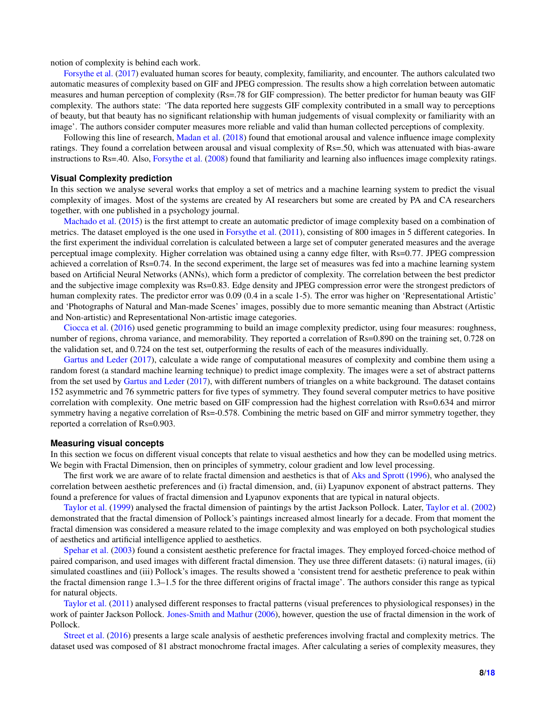notion of complexity is behind each work.

[Forsythe et al.](#page-13-8) [\(2017\)](#page-13-8) evaluated human scores for beauty, complexity, familiarity, and encounter. The authors calculated two automatic measures of complexity based on GIF and JPEG compression. The results show a high correlation between automatic measures and human perception of complexity (Rs=.78 for GIF compression). The better predictor for human beauty was GIF complexity. The authors state: 'The data reported here suggests GIF complexity contributed in a small way to perceptions of beauty, but that beauty has no significant relationship with human judgements of visual complexity or familiarity with an image'. The authors consider computer measures more reliable and valid than human collected perceptions of complexity.

Following this line of research, [Madan et al.](#page-15-12) [\(2018\)](#page-15-12) found that emotional arousal and valence influence image complexity ratings. They found a correlation between arousal and visual complexity of Rs=.50, which was attenuated with bias-aware instructions to Rs=.40. Also, [Forsythe et al.](#page-13-5) [\(2008\)](#page-13-5) found that familiarity and learning also influences image complexity ratings.

#### **Visual Complexity prediction**

In this section we analyse several works that employ a set of metrics and a machine learning system to predict the visual complexity of images. Most of the systems are created by AI researchers but some are created by PA and CA researchers together, with one published in a psychology journal.

[Machado et al.](#page-15-13) [\(2015\)](#page-15-13) is the first attempt to create an automatic predictor of image complexity based on a combination of metrics. The dataset employed is the one used in [Forsythe et al.](#page-13-11) [\(2011\)](#page-13-11), consisting of 800 images in 5 different categories. In the first experiment the individual correlation is calculated between a large set of computer generated measures and the average perceptual image complexity. Higher correlation was obtained using a canny edge filter, with Rs=0.77. JPEG compression achieved a correlation of Rs=0.74. In the second experiment, the large set of measures was fed into a machine learning system based on Artificial Neural Networks (ANNs), which form a predictor of complexity. The correlation between the best predictor and the subjective image complexity was Rs=0.83. Edge density and JPEG compression error were the strongest predictors of human complexity rates. The predictor error was 0.09 (0.4 in a scale 1-5). The error was higher on 'Representational Artistic' and 'Photographs of Natural and Man-made Scenes' images, possibly due to more semantic meaning than Abstract (Artistic and Non-artistic) and Representational Non-artistic image categories.

[Ciocca et al.](#page-12-15) [\(2016\)](#page-12-15) used genetic programming to build an image complexity predictor, using four measures: roughness, number of regions, chroma variance, and memorability. They reported a correlation of Rs=0.890 on the training set, 0.728 on the validation set, and 0.724 on the test set, outperforming the results of each of the measures individually.

[Gartus and Leder](#page-13-14) [\(2017\)](#page-13-14), calculate a wide range of computational measures of complexity and combine them using a random forest (a standard machine learning technique) to predict image complexity. The images were a set of abstract patterns from the set used by [Gartus and Leder](#page-13-14) [\(2017\)](#page-13-14), with different numbers of triangles on a white background. The dataset contains 152 asymmetric and 76 symmetric patters for five types of symmetry. They found several computer metrics to have positive correlation with complexity. One metric based on GIF compression had the highest correlation with Rs=0.634 and mirror symmetry having a negative correlation of Rs=-0.578. Combining the metric based on GIF and mirror symmetry together, they reported a correlation of Rs=0.903.

#### **Measuring visual concepts**

In this section we focus on different visual concepts that relate to visual aesthetics and how they can be modelled using metrics. We begin with Fractal Dimension, then on principles of symmetry, colour gradient and low level processing.

The first work we are aware of to relate fractal dimension and aesthetics is that of [Aks and Sprott](#page-10-1) [\(1996\)](#page-10-1), who analysed the correlation between aesthetic preferences and (i) fractal dimension, and, (ii) Lyapunov exponent of abstract patterns. They found a preference for values of fractal dimension and Lyapunov exponents that are typical in natural objects.

[Taylor et al.](#page-17-3) [\(1999\)](#page-17-3) analysed the fractal dimension of paintings by the artist Jackson Pollock. Later, [Taylor et al.](#page-17-4) [\(2002\)](#page-17-4) demonstrated that the fractal dimension of Pollock's paintings increased almost linearly for a decade. From that moment the fractal dimension was considered a measure related to the image complexity and was employed on both psychological studies of aesthetics and artificial intelligence applied to aesthetics.

[Spehar et al.](#page-16-13) [\(2003\)](#page-16-13) found a consistent aesthetic preference for fractal images. They employed forced-choice method of paired comparison, and used images with different fractal dimension. They use three different datasets: (i) natural images, (ii) simulated coastlines and (iii) Pollock's images. The results showed a 'consistent trend for aesthetic preference to peak within the fractal dimension range 1.3–1.5 for the three different origins of fractal image'. The authors consider this range as typical for natural objects.

[Taylor et al.](#page-16-14) [\(2011\)](#page-16-14) analysed different responses to fractal patterns (visual preferences to physiological responses) in the work of painter Jackson Pollock. [Jones-Smith and Mathur](#page-14-16) [\(2006\)](#page-14-16), however, question the use of fractal dimension in the work of Pollock.

[Street et al.](#page-16-15) [\(2016\)](#page-16-15) presents a large scale analysis of aesthetic preferences involving fractal and complexity metrics. The dataset used was composed of 81 abstract monochrome fractal images. After calculating a series of complexity measures, they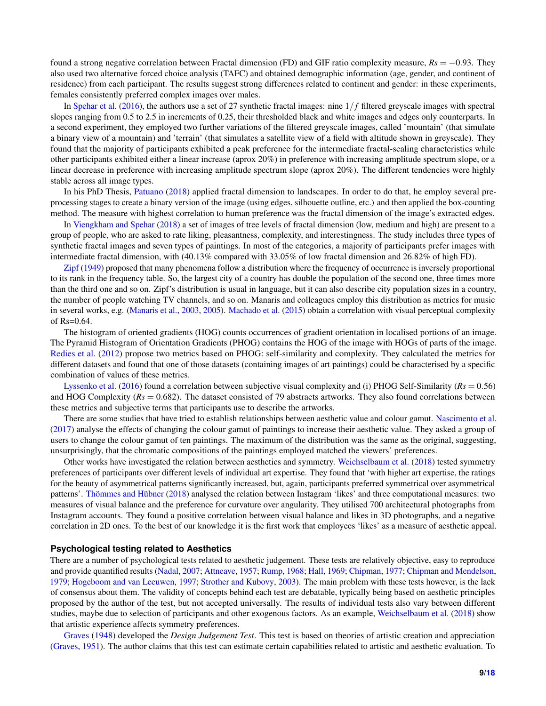found a strong negative correlation between Fractal dimension (FD) and GIF ratio complexity measure, *Rs* = −0.93. They also used two alternative forced choice analysis (TAFC) and obtained demographic information (age, gender, and continent of residence) from each participant. The results suggest strong differences related to continent and gender: in these experiments, females consistently preferred complex images over males.

In [Spehar et al.](#page-16-16) [\(2016\)](#page-16-16), the authors use a set of 27 synthetic fractal images: nine  $1/f$  filtered greyscale images with spectral slopes ranging from 0.5 to 2.5 in increments of 0.25, their thresholded black and white images and edges only counterparts. In a second experiment, they employed two further variations of the filtered greyscale images, called 'mountain' (that simulate a binary view of a mountain) and 'terrain' (that simulates a satellite view of a field with altitude shown in greyscale). They found that the majority of participants exhibited a peak preference for the intermediate fractal-scaling characteristics while other participants exhibited either a linear increase (aprox 20%) in preference with increasing amplitude spectrum slope, or a linear decrease in preference with increasing amplitude spectrum slope (aprox 20%). The different tendencies were highly stable across all image types.

In his PhD Thesis, [Patuano](#page-16-17) [\(2018\)](#page-16-17) applied fractal dimension to landscapes. In order to do that, he employ several preprocessing stages to create a binary version of the image (using edges, silhouette outline, etc.) and then applied the box-counting method. The measure with highest correlation to human preference was the fractal dimension of the image's extracted edges.

In [Viengkham and Spehar](#page-17-5) [\(2018\)](#page-17-5) a set of images of tree levels of fractal dimension (low, medium and high) are present to a group of people, who are asked to rate liking, pleasantness, complexity, and interestingness. The study includes three types of synthetic fractal images and seven types of paintings. In most of the categories, a majority of participants prefer images with intermediate fractal dimension, with (40.13% compared with 33.05% of low fractal dimension and 26.82% of high FD).

[Zipf](#page-17-6) [\(1949\)](#page-17-6) proposed that many phenomena follow a distribution where the frequency of occurrence is inversely proportional to its rank in the frequency table. So, the largest city of a country has double the population of the second one, three times more than the third one and so on. Zipf's distribution is usual in language, but it can also describe city population sizes in a country, the number of people watching TV channels, and so on. Manaris and colleagues employ this distribution as metrics for music in several works, e.g. [\(Manaris et al.,](#page-15-14) [2003,](#page-15-14) [2005\)](#page-15-15). [Machado et al.](#page-15-13) [\(2015\)](#page-15-13) obtain a correlation with visual perceptual complexity of Rs=0.64.

The histogram of oriented gradients (HOG) counts occurrences of gradient orientation in localised portions of an image. The Pyramid Histogram of Orientation Gradients (PHOG) contains the HOG of the image with HOGs of parts of the image. [Redies et al.](#page-16-18) [\(2012\)](#page-16-18) propose two metrics based on PHOG: self-similarity and complexity. They calculated the metrics for different datasets and found that one of those datasets (containing images of art paintings) could be characterised by a specific combination of values of these metrics.

[Lyssenko et al.](#page-14-17) [\(2016\)](#page-14-17) found a correlation between subjective visual complexity and (i) PHOG Self-Similarity ( $Rs = 0.56$ ) and HOG Complexity  $(Rs = 0.682)$ . The dataset consisted of 79 abstracts artworks. They also found correlations between these metrics and subjective terms that participants use to describe the artworks.

There are some studies that have tried to establish relationships between aesthetic value and colour gamut. [Nascimento et al.](#page-16-19) [\(2017\)](#page-16-19) analyse the effects of changing the colour gamut of paintings to increase their aesthetic value. They asked a group of users to change the colour gamut of ten paintings. The maximum of the distribution was the same as the original, suggesting, unsurprisingly, that the chromatic compositions of the paintings employed matched the viewers' preferences.

Other works have investigated the relation between aesthetics and symmetry. [Weichselbaum et al.](#page-17-7) [\(2018\)](#page-17-7) tested symmetry preferences of participants over different levels of individual art expertise. They found that 'with higher art expertise, the ratings for the beauty of asymmetrical patterns significantly increased, but, again, participants preferred symmetrical over asymmetrical patterns'. [Thömmes and Hübner](#page-17-8) [\(2018\)](#page-17-8) analysed the relation between Instagram 'likes' and three computational measures: two measures of visual balance and the preference for curvature over angularity. They utilised 700 architectural photographs from Instagram accounts. They found a positive correlation between visual balance and likes in 3D photographs, and a negative correlation in 2D ones. To the best of our knowledge it is the first work that employees 'likes' as a measure of aesthetic appeal.

#### **Psychological testing related to Aesthetics**

There are a number of psychological tests related to aesthetic judgement. These tests are relatively objective, easy to reproduce and provide quantified results [\(Nadal,](#page-15-5) [2007;](#page-15-5) [Attneave,](#page-11-9) [1957;](#page-11-9) [Rump,](#page-16-20) [1968;](#page-16-20) [Hall,](#page-13-15) [1969;](#page-13-15) [Chipman,](#page-11-18) [1977;](#page-11-18) [Chipman and Mendelson,](#page-12-16) [1979;](#page-12-16) [Hogeboom and van Leeuwen,](#page-14-11) [1997;](#page-14-11) [Strother and Kubovy,](#page-16-8) [2003\)](#page-16-8). The main problem with these tests however, is the lack of consensus about them. The validity of concepts behind each test are debatable, typically being based on aesthetic principles proposed by the author of the test, but not accepted universally. The results of individual tests also vary between different studies, maybe due to selection of participants and other exogenous factors. As an example, [Weichselbaum et al.](#page-17-7) [\(2018\)](#page-17-7) show that artistic experience affects symmetry preferences.

[Graves](#page-13-16) [\(1948\)](#page-13-16) developed the *Design Judgement Test*. This test is based on theories of artistic creation and appreciation [\(Graves,](#page-13-17) [1951\)](#page-13-17). The author claims that this test can estimate certain capabilities related to artistic and aesthetic evaluation. To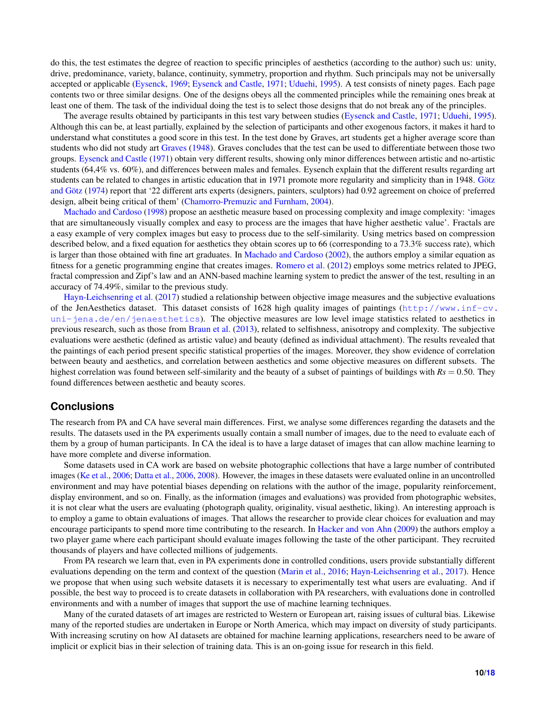do this, the test estimates the degree of reaction to specific principles of aesthetics (according to the author) such us: unity, drive, predominance, variety, balance, continuity, symmetry, proportion and rhythm. Such principals may not be universally accepted or applicable [\(Eysenck,](#page-12-17) [1969;](#page-12-17) [Eysenck and Castle,](#page-12-18) [1971;](#page-12-18) [Uduehi,](#page-17-9) [1995\)](#page-17-9). A test consists of ninety pages. Each page contents two or three similar designs. One of the designs obeys all the commented principles while the remaining ones break at least one of them. The task of the individual doing the test is to select those designs that do not break any of the principles.

The average results obtained by participants in this test vary between studies [\(Eysenck and Castle,](#page-12-18) [1971;](#page-12-18) [Uduehi,](#page-17-9) [1995\)](#page-17-9). Although this can be, at least partially, explained by the selection of participants and other exogenous factors, it makes it hard to understand what constitutes a good score in this test. In the test done by Graves, art students get a higher average score than students who did not study art [Graves](#page-13-16) [\(1948\)](#page-13-16). Graves concludes that the test can be used to differentiate between those two groups. [Eysenck and Castle](#page-12-18) [\(1971\)](#page-12-18) obtain very different results, showing only minor differences between artistic and no-artistic students (64,4% vs. 60%), and differences between males and females. Eysench explain that the different results regarding art students can be related to changes in artistic education that in 1971 promote more regularity and simplicity than in 1948. [Götz](#page-13-18) [and Götz](#page-13-18) [\(1974\)](#page-13-18) report that '22 different arts experts (designers, painters, sculptors) had 0.92 agreement on choice of preferred design, albeit being critical of them' [\(Chamorro-Premuzic and Furnham,](#page-11-19) [2004\)](#page-11-19).

[Machado and Cardoso](#page-15-2) [\(1998\)](#page-15-2) propose an aesthetic measure based on processing complexity and image complexity: 'images that are simultaneously visually complex and easy to process are the images that have higher aesthetic value'. Fractals are a easy example of very complex images but easy to process due to the self-similarity. Using metrics based on compression described below, and a fixed equation for aesthetics they obtain scores up to 66 (corresponding to a 73.3% success rate), which is larger than those obtained with fine art graduates. In [Machado and Cardoso](#page-14-18) [\(2002\)](#page-14-18), the authors employ a similar equation as fitness for a genetic programming engine that creates images. [Romero et al.](#page-16-21) [\(2012\)](#page-16-21) employs some metrics related to JPEG, fractal compression and Zipf's law and an ANN-based machine learning system to predict the answer of the test, resulting in an accuracy of 74.49%, similar to the previous study.

[Hayn-Leichsenring et al.](#page-13-19) [\(2017\)](#page-13-19) studied a relationship between objective image measures and the subjective evaluations of the JenAesthetics dataset. This dataset consists of 1628 high quality images of paintings ([http://www.inf-cv.](http://www.inf-cv.uni-jena.de/en/jenaesthetics) [uni-jena.de/en/jenaesthetics](http://www.inf-cv.uni-jena.de/en/jenaesthetics)). The objective measures are low level image statistics related to aesthetics in previous research, such as those from [Braun et al.](#page-11-20) [\(2013\)](#page-11-20), related to selfishness, anisotropy and complexity. The subjective evaluations were aesthetic (defined as artistic value) and beauty (defined as individual attachment). The results revealed that the paintings of each period present specific statistical properties of the images. Moreover, they show evidence of correlation between beauty and aesthetics, and correlation between aesthetics and some objective measures on different subsets. The highest correlation was found between self-similarity and the beauty of a subset of paintings of buildings with *Rs* = 0.50. They found differences between aesthetic and beauty scores.

#### **Conclusions**

The research from PA and CA have several main differences. First, we analyse some differences regarding the datasets and the results. The datasets used in the PA experiments usually contain a small number of images, due to the need to evaluate each of them by a group of human participants. In CA the ideal is to have a large dataset of images that can allow machine learning to have more complete and diverse information.

Some datasets used in CA work are based on website photographic collections that have a large number of contributed images [\(Ke et al.,](#page-14-19) [2006;](#page-14-19) [Datta et al.,](#page-12-19) [2006,](#page-12-19) [2008\)](#page-12-20). However, the images in these datasets were evaluated online in an uncontrolled environment and may have potential biases depending on relations with the author of the image, popularity reinforcement, display environment, and so on. Finally, as the information (images and evaluations) was provided from photographic websites, it is not clear what the users are evaluating (photograph quality, originality, visual aesthetic, liking). An interesting approach is to employ a game to obtain evaluations of images. That allows the researcher to provide clear choices for evaluation and may encourage participants to spend more time contributing to the research. In [Hacker and von Ahn](#page-13-20) [\(2009\)](#page-13-20) the authors employ a two player game where each participant should evaluate images following the taste of the other participant. They recruited thousands of players and have collected millions of judgements.

From PA research we learn that, even in PA experiments done in controlled conditions, users provide substantially different evaluations depending on the term and context of the question [\(Marin et al.,](#page-15-11) [2016;](#page-15-11) [Hayn-Leichsenring et al.,](#page-13-19) [2017\)](#page-13-19). Hence we propose that when using such website datasets it is necessary to experimentally test what users are evaluating. And if possible, the best way to proceed is to create datasets in collaboration with PA researchers, with evaluations done in controlled environments and with a number of images that support the use of machine learning techniques.

<span id="page-10-1"></span><span id="page-10-0"></span>Many of the curated datasets of art images are restricted to Western or European art, raising issues of cultural bias. Likewise many of the reported studies are undertaken in Europe or North America, which may impact on diversity of study participants. With increasing scrutiny on how AI datasets are obtained for machine learning applications, researchers need to be aware of implicit or explicit bias in their selection of training data. This is an on-going issue for research in this field.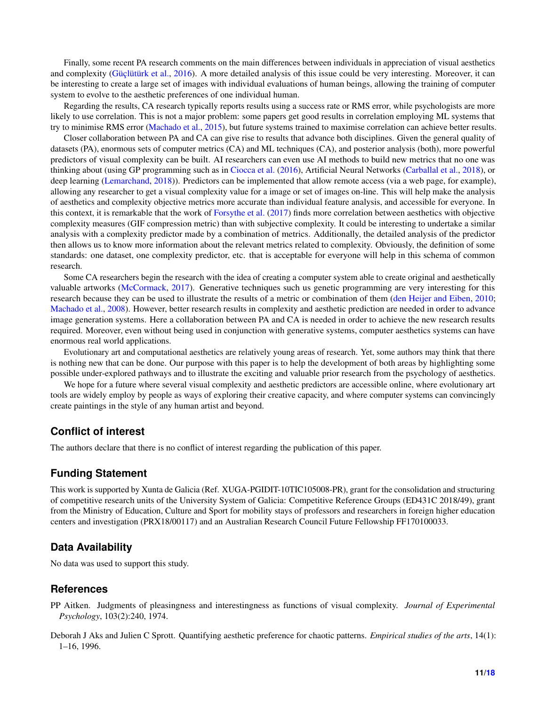<span id="page-11-12"></span>Finally, some recent PA research comments on the main differences between individuals in appreciation of visual aesthetics and complexity [\(Güçlütürk et al.,](#page-13-6) [2016\)](#page-13-6). A more detailed analysis of this issue could be very interesting. Moreover, it can be interesting to create a large set of images with individual evaluations of human beings, allowing the training of computer system to evolve to the aesthetic preferences of one individual human.

<span id="page-11-14"></span><span id="page-11-13"></span>Regarding the results, CA research typically reports results using a success rate or RMS error, while psychologists are more likely to use correlation. This is not a major problem: some papers get good results in correlation employing ML systems that try to minimise RMS error [\(Machado et al.,](#page-15-13) [2015\)](#page-15-13), but future systems trained to maximise correlation can achieve better results.

<span id="page-11-15"></span><span id="page-11-9"></span><span id="page-11-5"></span>Closer collaboration between PA and CA can give rise to results that advance both disciplines. Given the general quality of datasets (PA), enormous sets of computer metrics (CA) and ML techniques (CA), and posterior analysis (both), more powerful predictors of visual complexity can be built. AI researchers can even use AI methods to build new metrics that no one was thinking about (using GP programming such as in [Ciocca et al.](#page-12-15) [\(2016\)](#page-12-15), Artificial Neural Networks [\(Carballal et al.,](#page-11-21) [2018\)](#page-11-21), or deep learning [\(Lemarchand,](#page-14-20) [2018\)](#page-14-20)). Predictors can be implemented that allow remote access (via a web page, for example), allowing any researcher to get a visual complexity value for a image or set of images on-line. This will help make the analysis of aesthetics and complexity objective metrics more accurate than individual feature analysis, and accessible for everyone. In this context, it is remarkable that the work of [Forsythe et al.](#page-13-8)  $(2017)$  finds more correlation between aesthetics with objective complexity measures (GIF compression metric) than with subjective complexity. It could be interesting to undertake a similar analysis with a complexity predictor made by a combination of metrics. Additionally, the detailed analysis of the predictor then allows us to know more information about the relevant metrics related to complexity. Obviously, the definition of some standards: one dataset, one complexity predictor, etc. that is acceptable for everyone will help in this schema of common research.

<span id="page-11-10"></span><span id="page-11-8"></span><span id="page-11-7"></span><span id="page-11-6"></span>Some CA researchers begin the research with the idea of creating a computer system able to create original and aesthetically valuable artworks [\(McCormack,](#page-15-16) [2017\)](#page-15-16). Generative techniques such us genetic programming are very interesting for this research because they can be used to illustrate the results of a metric or combination of them [\(den Heijer and Eiben,](#page-12-2) [2010;](#page-12-2) [Machado et al.,](#page-15-17) [2008\)](#page-15-17). However, better research results in complexity and aesthetic prediction are needed in order to advance image generation systems. Here a collaboration between PA and CA is needed in order to achieve the new research results required. Moreover, even without being used in conjunction with generative systems, computer aesthetics systems can have enormous real world applications.

<span id="page-11-11"></span><span id="page-11-3"></span><span id="page-11-0"></span>Evolutionary art and computational aesthetics are relatively young areas of research. Yet, some authors may think that there is nothing new that can be done. Our purpose with this paper is to help the development of both areas by highlighting some possible under-explored pathways and to illustrate the exciting and valuable prior research from the psychology of aesthetics.

We hope for a future where several visual complexity and aesthetic predictors are accessible online, where evolutionary art tools are widely employ by people as ways of exploring their creative capacity, and where computer systems can convincingly create paintings in the style of any human artist and beyond.

#### <span id="page-11-20"></span>**Conflict of interest**

<span id="page-11-21"></span><span id="page-11-4"></span>The authors declare that there is no conflict of interest regarding the publication of this paper.

#### **Funding Statement**

<span id="page-11-17"></span><span id="page-11-1"></span>This work is supported by Xunta de Galicia (Ref. XUGA-PGIDIT-10TIC105008-PR), grant for the consolidation and structuring of competitive research units of the University System of Galicia: Competitive Reference Groups (ED431C 2018/49), grant from the Ministry of Education, Culture and Sport for mobility stays of professors and researchers in foreign higher education centers and investigation (PRX18/00117) and an Australian Research Council Future Fellowship FF170100033.

#### **Data Availability**

<span id="page-11-19"></span>No data was used to support this study.

#### <span id="page-11-2"></span>**References**

- <span id="page-11-16"></span>PP Aitken. Judgments of pleasingness and interestingness as functions of visual complexity. *Journal of Experimental Psychology*, 103(2):240, 1974.
- <span id="page-11-18"></span>Deborah J Aks and Julien C Sprott. Quantifying aesthetic preference for chaotic patterns. *Empirical studies of the arts*, 14(1): 1–16, 1996.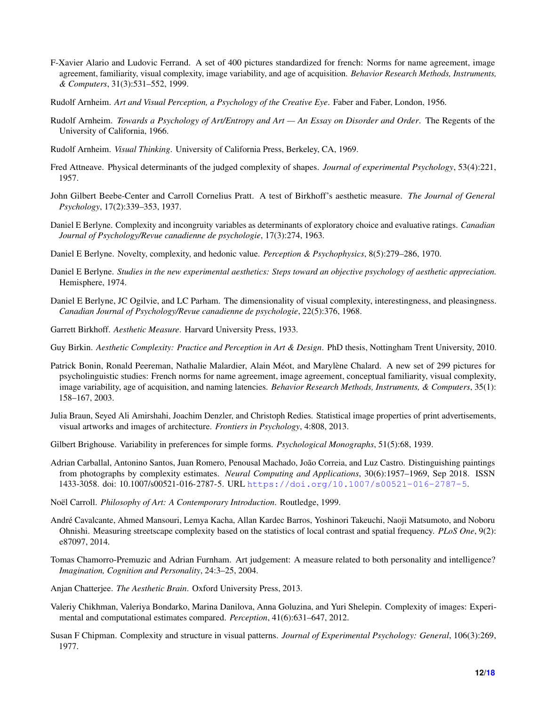- <span id="page-12-16"></span>F-Xavier Alario and Ludovic Ferrand. A set of 400 pictures standardized for french: Norms for name agreement, image agreement, familiarity, visual complexity, image variability, and age of acquisition. *Behavior Research Methods, Instruments, & Computers*, 31(3):531–552, 1999.
- <span id="page-12-14"></span>Rudolf Arnheim. *Art and Visual Perception, a Psychology of the Creative Eye*. Faber and Faber, London, 1956.
- <span id="page-12-15"></span>Rudolf Arnheim. *Towards a Psychology of Art/Entropy and Art — An Essay on Disorder and Order*. The Regents of the University of California, 1966.
- <span id="page-12-9"></span>Rudolf Arnheim. *Visual Thinking*. University of California Press, Berkeley, CA, 1969.
- Fred Attneave. Physical determinants of the judged complexity of shapes. *Journal of experimental Psychology*, 53(4):221, 1957.
- <span id="page-12-10"></span>John Gilbert Beebe-Center and Carroll Cornelius Pratt. A test of Birkhoff's aesthetic measure. *The Journal of General Psychology*, 17(2):339–353, 1937.
- <span id="page-12-19"></span><span id="page-12-0"></span>Daniel E Berlyne. Complexity and incongruity variables as determinants of exploratory choice and evaluative ratings. *Canadian Journal of Psychology/Revue canadienne de psychologie*, 17(3):274, 1963.
- Daniel E Berlyne. Novelty, complexity, and hedonic value. *Perception & Psychophysics*, 8(5):279–286, 1970.
- <span id="page-12-20"></span>Daniel E Berlyne. *Studies in the new experimental aesthetics: Steps toward an objective psychology of aesthetic appreciation.* Hemisphere, 1974.
- <span id="page-12-5"></span>Daniel E Berlyne, JC Ogilvie, and LC Parham. The dimensionality of visual complexity, interestingness, and pleasingness. *Canadian Journal of Psychology/Revue canadienne de psychologie*, 22(5):376, 1968.
- Garrett Birkhoff. *Aesthetic Measure*. Harvard University Press, 1933.
- <span id="page-12-2"></span>Guy Birkin. *Aesthetic Complexity: Practice and Perception in Art & Design*. PhD thesis, Nottingham Trent University, 2010.
- <span id="page-12-12"></span>Patrick Bonin, Ronald Peereman, Nathalie Malardier, Alain Méot, and Marylène Chalard. A new set of 299 pictures for psycholinguistic studies: French norms for name agreement, image agreement, conceptual familiarity, visual complexity, image variability, age of acquisition, and naming latencies. *Behavior Research Methods, Instruments, & Computers*, 35(1): 158–167, 2003.
- <span id="page-12-13"></span>Julia Braun, Seyed Ali Amirshahi, Joachim Denzler, and Christoph Redies. Statistical image properties of print advertisements, visual artworks and images of architecture. *Frontiers in Psychology*, 4:808, 2013.
- <span id="page-12-11"></span>Gilbert Brighouse. Variability in preferences for simple forms. *Psychological Monographs*, 51(5):68, 1939.
- <span id="page-12-18"></span><span id="page-12-1"></span>Adrian Carballal, Antonino Santos, Juan Romero, Penousal Machado, João Correia, and Luz Castro. Distinguishing paintings from photographs by complexity estimates. *Neural Computing and Applications*, 30(6):1957–1969, Sep 2018. ISSN 1433-3058. doi: 10.1007/s00521-016-2787-5. URL <https://doi.org/10.1007/s00521-016-2787-5>.
- <span id="page-12-8"></span>Noël Carroll. *Philosophy of Art: A Contemporary Introduction*. Routledge, 1999.
- <span id="page-12-7"></span>André Cavalcante, Ahmed Mansouri, Lemya Kacha, Allan Kardec Barros, Yoshinori Takeuchi, Naoji Matsumoto, and Noboru Ohnishi. Measuring streetscape complexity based on the statistics of local contrast and spatial frequency. *PLoS One*, 9(2): e87097, 2014.
- <span id="page-12-6"></span>Tomas Chamorro-Premuzic and Adrian Furnham. Art judgement: A measure related to both personality and intelligence? *Imagination, Cognition and Personality*, 24:3–25, 2004.
- <span id="page-12-17"></span>Anjan Chatterjee. *The Aesthetic Brain*. Oxford University Press, 2013.
- <span id="page-12-4"></span>Valeriy Chikhman, Valeriya Bondarko, Marina Danilova, Anna Goluzina, and Yuri Shelepin. Complexity of images: Experimental and computational estimates compared. *Perception*, 41(6):631–647, 2012.
- <span id="page-12-3"></span>Susan F Chipman. Complexity and structure in visual patterns. *Journal of Experimental Psychology: General*, 106(3):269, 1977.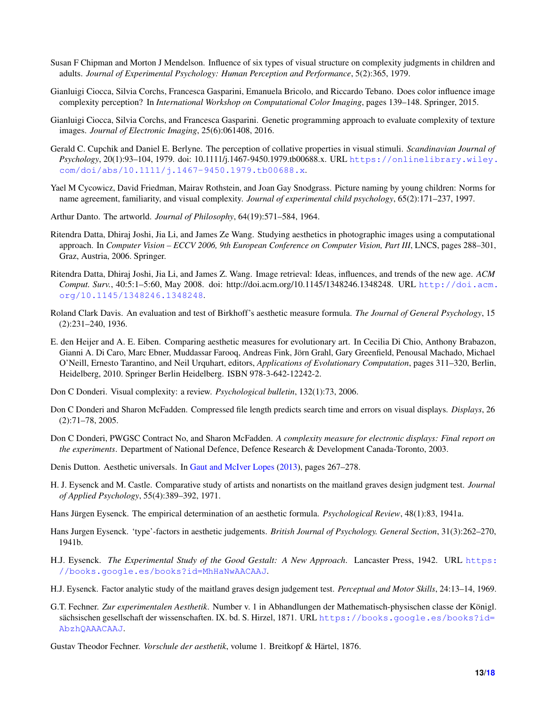- <span id="page-13-3"></span>Susan F Chipman and Morton J Mendelson. Influence of six types of visual structure on complexity judgments in children and adults. *Journal of Experimental Psychology: Human Perception and Performance*, 5(2):365, 1979.
- <span id="page-13-10"></span>Gianluigi Ciocca, Silvia Corchs, Francesca Gasparini, Emanuela Bricolo, and Riccardo Tebano. Does color influence image complexity perception? In *International Workshop on Computational Color Imaging*, pages 139–148. Springer, 2015.
- <span id="page-13-5"></span>Gianluigi Ciocca, Silvia Corchs, and Francesca Gasparini. Genetic programming approach to evaluate complexity of texture images. *Journal of Electronic Imaging*, 25(6):061408, 2016.
- <span id="page-13-11"></span>Gerald C. Cupchik and Daniel E. Berlyne. The perception of collative properties in visual stimuli. *Scandinavian Journal of Psychology*, 20(1):93–104, 1979. doi: 10.1111/j.1467-9450.1979.tb00688.x. URL [https://onlinelibrary.wiley.](https://onlinelibrary.wiley.com/doi/abs/10.1111/j.1467-9450.1979.tb00688.x) [com/doi/abs/10.1111/j.1467-9450.1979.tb00688.x](https://onlinelibrary.wiley.com/doi/abs/10.1111/j.1467-9450.1979.tb00688.x).
- <span id="page-13-8"></span>Yael M Cycowicz, David Friedman, Mairav Rothstein, and Joan Gay Snodgrass. Picture naming by young children: Norms for name agreement, familiarity, and visual complexity. *Journal of experimental child psychology*, 65(2):171–237, 1997.
- <span id="page-13-12"></span><span id="page-13-4"></span>Arthur Danto. The artworld. *Journal of Philosophy*, 64(19):571–584, 1964.
- <span id="page-13-1"></span>Ritendra Datta, Dhiraj Joshi, Jia Li, and James Ze Wang. Studying aesthetics in photographic images using a computational approach. In *Computer Vision – ECCV 2006, 9th European Conference on Computer Vision, Part III*, LNCS, pages 288–301, Graz, Austria, 2006. Springer.
- <span id="page-13-9"></span>Ritendra Datta, Dhiraj Joshi, Jia Li, and James Z. Wang. Image retrieval: Ideas, influences, and trends of the new age. *ACM Comput. Surv.*, 40:5:1–5:60, May 2008. doi: http://doi.acm.org/10.1145/1348246.1348248. URL [http://doi.acm.](http://doi.acm.org/10.1145/1348246.1348248) [org/10.1145/1348246.1348248](http://doi.acm.org/10.1145/1348246.1348248).
- <span id="page-13-14"></span>Roland Clark Davis. An evaluation and test of Birkhoff's aesthetic measure formula. *The Journal of General Psychology*, 15 (2):231–240, 1936.
- <span id="page-13-2"></span>E. den Heijer and A. E. Eiben. Comparing aesthetic measures for evolutionary art. In Cecilia Di Chio, Anthony Brabazon, Gianni A. Di Caro, Marc Ebner, Muddassar Farooq, Andreas Fink, Jörn Grahl, Gary Greenfield, Penousal Machado, Michael O'Neill, Ernesto Tarantino, and Neil Urquhart, editors, *Applications of Evolutionary Computation*, pages 311–320, Berlin, Heidelberg, 2010. Springer Berlin Heidelberg. ISBN 978-3-642-12242-2.
- <span id="page-13-18"></span><span id="page-13-13"></span>Don C Donderi. Visual complexity: a review. *Psychological bulletin*, 132(1):73, 2006.
- <span id="page-13-7"></span>Don C Donderi and Sharon McFadden. Compressed file length predicts search time and errors on visual displays. *Displays*, 26 (2):71–78, 2005.
- Don C Donderi, PWGSC Contract No, and Sharon McFadden. *A complexity measure for electronic displays: Final report on the experiments*. Department of National Defence, Defence Research & Development Canada-Toronto, 2003.
- <span id="page-13-17"></span><span id="page-13-16"></span>Denis Dutton. Aesthetic universals. In [Gaut and McIver Lopes](#page-13-2) [\(2013\)](#page-13-2), pages 267–278.
- <span id="page-13-0"></span>H. J. Eysenck and M. Castle. Comparative study of artists and nonartists on the maitland graves design judgment test. *Journal of Applied Psychology*, 55(4):389–392, 1971.
- Hans Jürgen Eysenck. The empirical determination of an aesthetic formula. *Psychological Review*, 48(1):83, 1941a.
- <span id="page-13-6"></span>Hans Jurgen Eysenck. 'type'-factors in aesthetic judgements. *British Journal of Psychology. General Section*, 31(3):262–270, 1941b.
- <span id="page-13-20"></span>H.J. Eysenck. *The Experimental Study of the Good Gestalt: A New Approach*. Lancaster Press, 1942. URL [https:](https://books.google.es/books?id=MhHaNwAACAAJ) [//books.google.es/books?id=MhHaNwAACAAJ](https://books.google.es/books?id=MhHaNwAACAAJ).
- H.J. Eysenck. Factor analytic study of the maitland graves design judgement test. *Perceptual and Motor Skills*, 24:13–14, 1969.
- <span id="page-13-15"></span>G.T. Fechner. *Zur experimentalen Aesthetik*. Number v. 1 in Abhandlungen der Mathematisch-physischen classe der Königl. sächsischen gesellschaft der wissenschaften. IX. bd. S. Hirzel, 1871. URL [https://books.google.es/books?id=](https://books.google.es/books?id=AbzhQAAACAAJ) [AbzhQAAACAAJ](https://books.google.es/books?id=AbzhQAAACAAJ).

<span id="page-13-19"></span>Gustav Theodor Fechner. *Vorschule der aesthetik*, volume 1. Breitkopf & Härtel, 1876.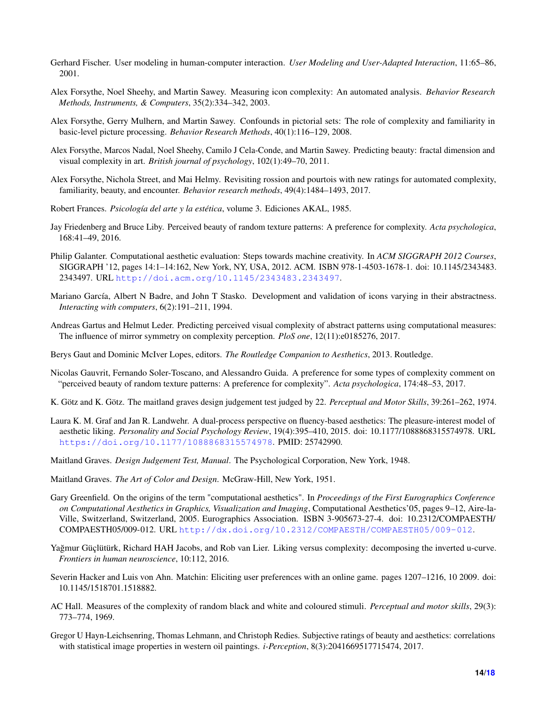- <span id="page-14-8"></span>Gerhard Fischer. User modeling in human-computer interaction. *User Modeling and User-Adapted Interaction*, 11:65–86, 2001.
- <span id="page-14-12"></span>Alex Forsythe, Noel Sheehy, and Martin Sawey. Measuring icon complexity: An automated analysis. *Behavior Research Methods, Instruments, & Computers*, 35(2):334–342, 2003.
- <span id="page-14-0"></span>Alex Forsythe, Gerry Mulhern, and Martin Sawey. Confounds in pictorial sets: The role of complexity and familiarity in basic-level picture processing. *Behavior Research Methods*, 40(1):116–129, 2008.
- Alex Forsythe, Marcos Nadal, Noel Sheehy, Camilo J Cela-Conde, and Martin Sawey. Predicting beauty: fractal dimension and visual complexity in art. *British journal of psychology*, 102(1):49–70, 2011.
- <span id="page-14-11"></span>Alex Forsythe, Nichola Street, and Mai Helmy. Revisiting rossion and pourtois with new ratings for automated complexity, familiarity, beauty, and encounter. *Behavior research methods*, 49(4):1484–1493, 2017.
- <span id="page-14-9"></span>Robert Frances. *Psicología del arte y la estética*, volume 3. Ediciones AKAL, 1985.
- <span id="page-14-13"></span>Jay Friedenberg and Bruce Liby. Perceived beauty of random texture patterns: A preference for complexity. *Acta psychologica*, 168:41–49, 2016.
- <span id="page-14-5"></span>Philip Galanter. Computational aesthetic evaluation: Steps towards machine creativity. In *ACM SIGGRAPH 2012 Courses*, SIGGRAPH '12, pages 14:1–14:162, New York, NY, USA, 2012. ACM. ISBN 978-1-4503-1678-1. doi: 10.1145/2343483. 2343497. URL <http://doi.acm.org/10.1145/2343483.2343497>.
- <span id="page-14-16"></span><span id="page-14-7"></span>Mariano García, Albert N Badre, and John T Stasko. Development and validation of icons varying in their abstractness. *Interacting with computers*, 6(2):191–211, 1994.
- <span id="page-14-19"></span>Andreas Gartus and Helmut Leder. Predicting perceived visual complexity of abstract patterns using computational measures: The influence of mirror symmetry on complexity perception. *PloS one*, 12(11):e0185276, 2017.
- <span id="page-14-6"></span>Berys Gaut and Dominic McIver Lopes, editors. *The Routledge Companion to Aesthetics*, 2013. Routledge.
- Nicolas Gauvrit, Fernando Soler-Toscano, and Alessandro Guida. A preference for some types of complexity comment on "perceived beauty of random texture patterns: A preference for complexity". *Acta psychologica*, 174:48–53, 2017.
- <span id="page-14-10"></span>K. Götz and K. Götz. The maitland graves design judgement test judged by 22. *Perceptual and Motor Skills*, 39:261–262, 1974.
- <span id="page-14-1"></span>Laura K. M. Graf and Jan R. Landwehr. A dual-process perspective on fluency-based aesthetics: The pleasure-interest model of aesthetic liking. *Personality and Social Psychology Review*, 19(4):395–410, 2015. doi: 10.1177/1088868315574978. URL <https://doi.org/10.1177/1088868315574978>. PMID: 25742990.
- <span id="page-14-15"></span>Maitland Graves. *Design Judgement Test, Manual*. The Psychological Corporation, New York, 1948.
- <span id="page-14-2"></span>Maitland Graves. *The Art of Color and Design*. McGraw-Hill, New York, 1951.
- <span id="page-14-3"></span>Gary Greenfield. On the origins of the term "computational aesthetics". In *Proceedings of the First Eurographics Conference on Computational Aesthetics in Graphics, Visualization and Imaging*, Computational Aesthetics'05, pages 9–12, Aire-la-Ville, Switzerland, Switzerland, 2005. Eurographics Association. ISBN 3-905673-27-4. doi: 10.2312/COMPAESTH/ COMPAESTH05/009-012. URL <http://dx.doi.org/10.2312/COMPAESTH/COMPAESTH05/009-012>.
- <span id="page-14-20"></span><span id="page-14-14"></span>Yağmur Güçlütürk, Richard HAH Jacobs, and Rob van Lier. Liking versus complexity: decomposing the inverted u-curve. *Frontiers in human neuroscience*, 10:112, 2016.
- <span id="page-14-4"></span>Severin Hacker and Luis von Ahn. Matchin: Eliciting user preferences with an online game. pages 1207–1216, 10 2009. doi: 10.1145/1518701.1518882.
- <span id="page-14-17"></span>AC Hall. Measures of the complexity of random black and white and coloured stimuli. *Perceptual and motor skills*, 29(3): 773–774, 1969.
- <span id="page-14-18"></span>Gregor U Hayn-Leichsenring, Thomas Lehmann, and Christoph Redies. Subjective ratings of beauty and aesthetics: correlations with statistical image properties in western oil paintings. *i-Perception*, 8(3):2041669517715474, 2017.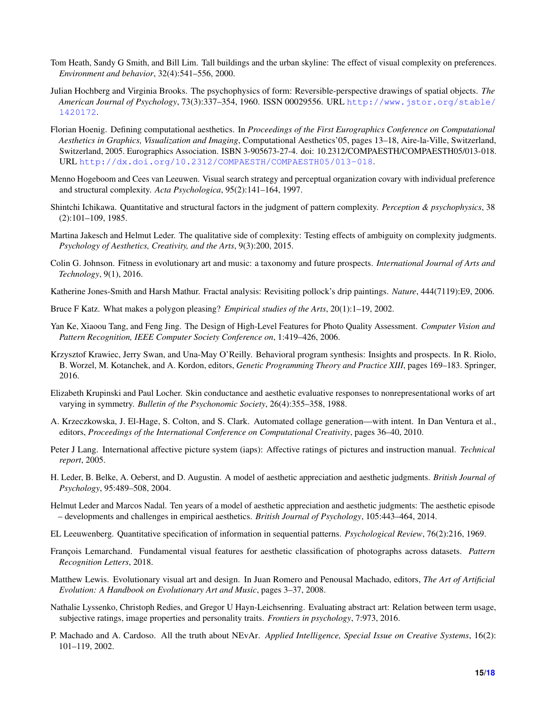- <span id="page-15-2"></span>Tom Heath, Sandy G Smith, and Bill Lim. Tall buildings and the urban skyline: The effect of visual complexity on preferences. *Environment and behavior*, 32(4):541–556, 2000.
- <span id="page-15-0"></span>Julian Hochberg and Virginia Brooks. The psychophysics of form: Reversible-perspective drawings of spatial objects. *The American Journal of Psychology*, 73(3):337–354, 1960. ISSN 00029556. URL [http://www.jstor.org/stable/](http://www.jstor.org/stable/1420172) [1420172](http://www.jstor.org/stable/1420172).
- <span id="page-15-17"></span>Florian Hoenig. Defining computational aesthetics. In *Proceedings of the First Eurographics Conference on Computational Aesthetics in Graphics, Visualization and Imaging*, Computational Aesthetics'05, pages 13–18, Aire-la-Ville, Switzerland, Switzerland, 2005. Eurographics Association. ISBN 3-905673-27-4. doi: 10.2312/COMPAESTH/COMPAESTH05/013-018. URL <http://dx.doi.org/10.2312/COMPAESTH/COMPAESTH05/013-018>.
- <span id="page-15-13"></span>Menno Hogeboom and Cees van Leeuwen. Visual search strategy and perceptual organization covary with individual preference and structural complexity. *Acta Psychologica*, 95(2):141–164, 1997.
- <span id="page-15-12"></span>Shintchi Ichikawa. Quantitative and structural factors in the judgment of pattern complexity. *Perception & psychophysics*, 38 (2):101–109, 1985.
- <span id="page-15-7"></span>Martina Jakesch and Helmut Leder. The qualitative side of complexity: Testing effects of ambiguity on complexity judgments. *Psychology of Aesthetics, Creativity, and the Arts*, 9(3):200, 2015.
- <span id="page-15-15"></span>Colin G. Johnson. Fitness in evolutionary art and music: a taxonomy and future prospects. *International Journal of Arts and Technology*, 9(1), 2016.
- <span id="page-15-14"></span>Katherine Jones-Smith and Harsh Mathur. Fractal analysis: Revisiting pollock's drip paintings. *Nature*, 444(7119):E9, 2006.
- Bruce F Katz. What makes a polygon pleasing? *Empirical studies of the Arts*, 20(1):1–19, 2002.
- Yan Ke, Xiaoou Tang, and Feng Jing. The Design of High-Level Features for Photo Quality Assessment. *Computer Vision and Pattern Recognition, IEEE Computer Society Conference on*, 1:419–426, 2006.
- Krzysztof Krawiec, Jerry Swan, and Una-May O'Reilly. Behavioral program synthesis: Insights and prospects. In R. Riolo, B. Worzel, M. Kotanchek, and A. Kordon, editors, *Genetic Programming Theory and Practice XIII*, pages 169–183. Springer, 2016.
- <span id="page-15-11"></span><span id="page-15-10"></span>Elizabeth Krupinski and Paul Locher. Skin conductance and aesthetic evaluative responses to nonrepresentational works of art varying in symmetry. *Bulletin of the Psychonomic Society*, 26(4):355–358, 1988.
- A. Krzeczkowska, J. El-Hage, S. Colton, and S. Clark. Automated collage generation—with intent. In Dan Ventura et al., editors, *Proceedings of the International Conference on Computational Creativity*, pages 36–40, 2010.
- <span id="page-15-1"></span>Peter J Lang. International affective picture system (iaps): Affective ratings of pictures and instruction manual. *Technical report*, 2005.
- <span id="page-15-16"></span>H. Leder, B. Belke, A. Oeberst, and D. Augustin. A model of aesthetic appreciation and aesthetic judgments. *British Journal of Psychology*, 95:489–508, 2004.
- <span id="page-15-8"></span>Helmut Leder and Marcos Nadal. Ten years of a model of aesthetic appreciation and aesthetic judgments: The aesthetic episode – developments and challenges in empirical aesthetics. *British Journal of Psychology*, 105:443–464, 2014.
- EL Leeuwenberg. Quantitative specification of information in sequential patterns. *Psychological Review*, 76(2):216, 1969.
- <span id="page-15-4"></span><span id="page-15-3"></span>François Lemarchand. Fundamental visual features for aesthetic classification of photographs across datasets. *Pattern Recognition Letters*, 2018.
- <span id="page-15-9"></span>Matthew Lewis. Evolutionary visual art and design. In Juan Romero and Penousal Machado, editors, *The Art of Artificial Evolution: A Handbook on Evolutionary Art and Music*, pages 3–37, 2008.
- <span id="page-15-5"></span>Nathalie Lyssenko, Christoph Redies, and Gregor U Hayn-Leichsenring. Evaluating abstract art: Relation between term usage, subjective ratings, image properties and personality traits. *Frontiers in psychology*, 7:973, 2016.
- <span id="page-15-6"></span>P. Machado and A. Cardoso. All the truth about NEvAr. *Applied Intelligence, Special Issue on Creative Systems*, 16(2): 101–119, 2002.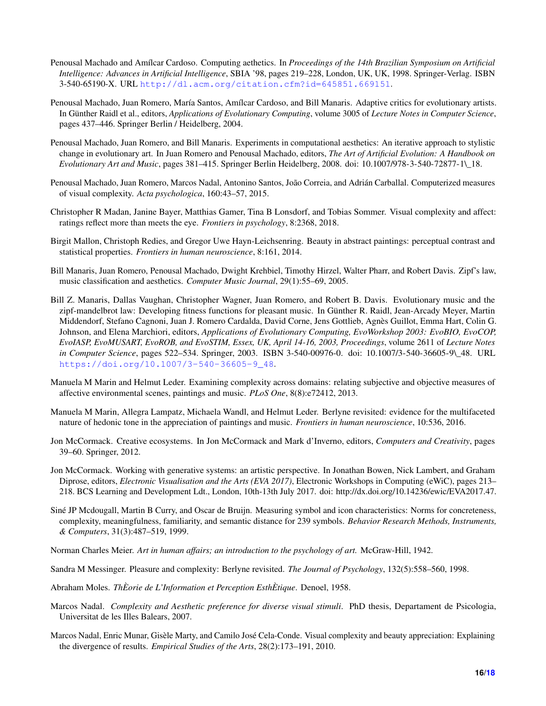- <span id="page-16-19"></span>Penousal Machado and Amílcar Cardoso. Computing aethetics. In *Proceedings of the 14th Brazilian Symposium on Artificial Intelligence: Advances in Artificial Intelligence*, SBIA '98, pages 219–228, London, UK, UK, 1998. Springer-Verlag. ISBN 3-540-65190-X. URL <http://dl.acm.org/citation.cfm?id=645851.669151>.
- <span id="page-16-6"></span><span id="page-16-4"></span>Penousal Machado, Juan Romero, María Santos, Amílcar Cardoso, and Bill Manaris. Adaptive critics for evolutionary artists. In Günther Raidl et al., editors, *Applications of Evolutionary Computing*, volume 3005 of *Lecture Notes in Computer Science*, pages 437–446. Springer Berlin / Heidelberg, 2004.
- <span id="page-16-5"></span>Penousal Machado, Juan Romero, and Bill Manaris. Experiments in computational aesthetics: An iterative approach to stylistic change in evolutionary art. In Juan Romero and Penousal Machado, editors, *The Art of Artificial Evolution: A Handbook on Evolutionary Art and Music*, pages 381–415. Springer Berlin Heidelberg, 2008. doi: 10.1007/978-3-540-72877-1\\_18.
- <span id="page-16-17"></span><span id="page-16-9"></span>Penousal Machado, Juan Romero, Marcos Nadal, Antonino Santos, João Correia, and Adrián Carballal. Computerized measures of visual complexity. *Acta psychologica*, 160:43–57, 2015.
- <span id="page-16-18"></span>Christopher R Madan, Janine Bayer, Matthias Gamer, Tina B Lonsdorf, and Tobias Sommer. Visual complexity and affect: ratings reflect more than meets the eye. *Frontiers in psychology*, 8:2368, 2018.
- Birgit Mallon, Christoph Redies, and Gregor Uwe Hayn-Leichsenring. Beauty in abstract paintings: perceptual contrast and statistical properties. *Frontiers in human neuroscience*, 8:161, 2014.
- <span id="page-16-1"></span>Bill Manaris, Juan Romero, Penousal Machado, Dwight Krehbiel, Timothy Hirzel, Walter Pharr, and Robert Davis. Zipf's law, music classification and aesthetics. *Computer Music Journal*, 29(1):55–69, 2005.
- <span id="page-16-21"></span><span id="page-16-0"></span>Bill Z. Manaris, Dallas Vaughan, Christopher Wagner, Juan Romero, and Robert B. Davis. Evolutionary music and the zipf-mandelbrot law: Developing fitness functions for pleasant music. In Günther R. Raidl, Jean-Arcady Meyer, Martin Middendorf, Stefano Cagnoni, Juan J. Romero Cardalda, David Corne, Jens Gottlieb, Agnès Guillot, Emma Hart, Colin G. Johnson, and Elena Marchiori, editors, *Applications of Evolutionary Computing, EvoWorkshop 2003: EvoBIO, EvoCOP, EvoIASP, EvoMUSART, EvoROB, and EvoSTIM, Essex, UK, April 14-16, 2003, Proceedings*, volume 2611 of *Lecture Notes in Computer Science*, pages 522–534. Springer, 2003. ISBN 3-540-00976-0. doi: 10.1007/3-540-36605-9\\_48. URL [https://doi.org/10.1007/3-540-36605-9\\_48](https://doi.org/10.1007/3-540-36605-9_48).
- <span id="page-16-20"></span><span id="page-16-7"></span>Manuela M Marin and Helmut Leder. Examining complexity across domains: relating subjective and objective measures of affective environmental scenes, paintings and music. *PLoS One*, 8(8):e72412, 2013.
- <span id="page-16-12"></span>Manuela M Marin, Allegra Lampatz, Michaela Wandl, and Helmut Leder. Berlyne revisited: evidence for the multifaceted nature of hedonic tone in the appreciation of paintings and music. *Frontiers in human neuroscience*, 10:536, 2016.
- <span id="page-16-11"></span><span id="page-16-10"></span>Jon McCormack. Creative ecosystems. In Jon McCormack and Mark d'Inverno, editors, *Computers and Creativity*, pages 39–60. Springer, 2012.
- <span id="page-16-13"></span>Jon McCormack. Working with generative systems: an artistic perspective. In Jonathan Bowen, Nick Lambert, and Graham Diprose, editors, *Electronic Visualisation and the Arts (EVA 2017)*, Electronic Workshops in Computing (eWiC), pages 213– 218. BCS Learning and Development Ldt., London, 10th-13th July 2017. doi: http://dx.doi.org/10.14236/ewic/EVA2017.47.
- <span id="page-16-16"></span><span id="page-16-3"></span>Siné JP Mcdougall, Martin B Curry, and Oscar de Bruijn. Measuring symbol and icon characteristics: Norms for concreteness, complexity, meaningfulness, familiarity, and semantic distance for 239 symbols. *Behavior Research Methods, Instruments, & Computers*, 31(3):487–519, 1999.
- <span id="page-16-15"></span>Norman Charles Meier. *Art in human affairs; an introduction to the psychology of art.* McGraw-Hill, 1942.
- <span id="page-16-8"></span>Sandra M Messinger. Pleasure and complexity: Berlyne revisited. *The Journal of Psychology*, 132(5):558–560, 1998.
- Abraham Moles. *ThÈorie de L'Information et Perception EsthÈtique*. Denoel, 1958.
- <span id="page-16-2"></span>Marcos Nadal. *Complexity and Aesthetic preference for diverse visual stimuli*. PhD thesis, Departament de Psicologia, Universitat de les Illes Balears, 2007.
- <span id="page-16-14"></span>Marcos Nadal, Enric Munar, Gisèle Marty, and Camilo José Cela-Conde. Visual complexity and beauty appreciation: Explaining the divergence of results. *Empirical Studies of the Arts*, 28(2):173–191, 2010.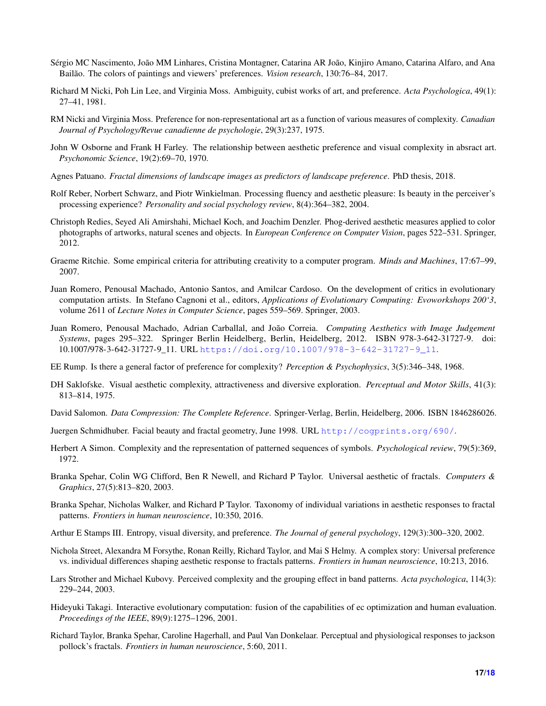- <span id="page-17-3"></span><span id="page-17-0"></span>Sérgio MC Nascimento, João MM Linhares, Cristina Montagner, Catarina AR João, Kinjiro Amano, Catarina Alfaro, and Ana Bailão. The colors of paintings and viewers' preferences. *Vision research*, 130:76–84, 2017.
- <span id="page-17-4"></span>Richard M Nicki, Poh Lin Lee, and Virginia Moss. Ambiguity, cubist works of art, and preference. *Acta Psychologica*, 49(1): 27–41, 1981.
- <span id="page-17-8"></span>RM Nicki and Virginia Moss. Preference for non-representational art as a function of various measures of complexity. *Canadian Journal of Psychology/Revue canadienne de psychologie*, 29(3):237, 1975.
- <span id="page-17-9"></span>John W Osborne and Frank H Farley. The relationship between aesthetic preference and visual complexity in absract art. *Psychonomic Science*, 19(2):69–70, 1970.
- <span id="page-17-5"></span>Agnes Patuano. *Fractal dimensions of landscape images as predictors of landscape preference*. PhD thesis, 2018.
- <span id="page-17-2"></span>Rolf Reber, Norbert Schwarz, and Piotr Winkielman. Processing fluency and aesthetic pleasure: Is beauty in the perceiver's processing experience? *Personality and social psychology review*, 8(4):364–382, 2004.
- <span id="page-17-7"></span><span id="page-17-1"></span>Christoph Redies, Seyed Ali Amirshahi, Michael Koch, and Joachim Denzler. Phog-derived aesthetic measures applied to color photographs of artworks, natural scenes and objects. In *European Conference on Computer Vision*, pages 522–531. Springer, 2012.
- <span id="page-17-6"></span>Graeme Ritchie. Some empirical criteria for attributing creativity to a computer program. *Minds and Machines*, 17:67–99, 2007.
- Juan Romero, Penousal Machado, Antonio Santos, and Amilcar Cardoso. On the development of critics in evolutionary computation artists. In Stefano Cagnoni et al., editors, *Applications of Evolutionary Computing: Evoworkshops 200'3*, volume 2611 of *Lecture Notes in Computer Science*, pages 559–569. Springer, 2003.
- Juan Romero, Penousal Machado, Adrian Carballal, and João Correia. *Computing Aesthetics with Image Judgement Systems*, pages 295–322. Springer Berlin Heidelberg, Berlin, Heidelberg, 2012. ISBN 978-3-642-31727-9. doi: 10.1007/978-3-642-31727-9\_11. URL [https://doi.org/10.1007/978-3-642-31727-9\\_11](https://doi.org/10.1007/978-3-642-31727-9_11).
- EE Rump. Is there a general factor of preference for complexity? *Perception & Psychophysics*, 3(5):346–348, 1968.
- DH Saklofske. Visual aesthetic complexity, attractiveness and diversive exploration. *Perceptual and Motor Skills*, 41(3): 813–814, 1975.
- David Salomon. *Data Compression: The Complete Reference*. Springer-Verlag, Berlin, Heidelberg, 2006. ISBN 1846286026.
- Juergen Schmidhuber. Facial beauty and fractal geometry, June 1998. URL <http://cogprints.org/690/>.
- Herbert A Simon. Complexity and the representation of patterned sequences of symbols. *Psychological review*, 79(5):369, 1972.
- Branka Spehar, Colin WG Clifford, Ben R Newell, and Richard P Taylor. Universal aesthetic of fractals. *Computers & Graphics*, 27(5):813–820, 2003.
- Branka Spehar, Nicholas Walker, and Richard P Taylor. Taxonomy of individual variations in aesthetic responses to fractal patterns. *Frontiers in human neuroscience*, 10:350, 2016.
- Arthur E Stamps III. Entropy, visual diversity, and preference. *The Journal of general psychology*, 129(3):300–320, 2002.
- Nichola Street, Alexandra M Forsythe, Ronan Reilly, Richard Taylor, and Mai S Helmy. A complex story: Universal preference vs. individual differences shaping aesthetic response to fractals patterns. *Frontiers in human neuroscience*, 10:213, 2016.
- Lars Strother and Michael Kubovy. Perceived complexity and the grouping effect in band patterns. *Acta psychologica*, 114(3): 229–244, 2003.
- Hideyuki Takagi. Interactive evolutionary computation: fusion of the capabilities of ec optimization and human evaluation. *Proceedings of the IEEE*, 89(9):1275–1296, 2001.
- Richard Taylor, Branka Spehar, Caroline Hagerhall, and Paul Van Donkelaar. Perceptual and physiological responses to jackson pollock's fractals. *Frontiers in human neuroscience*, 5:60, 2011.